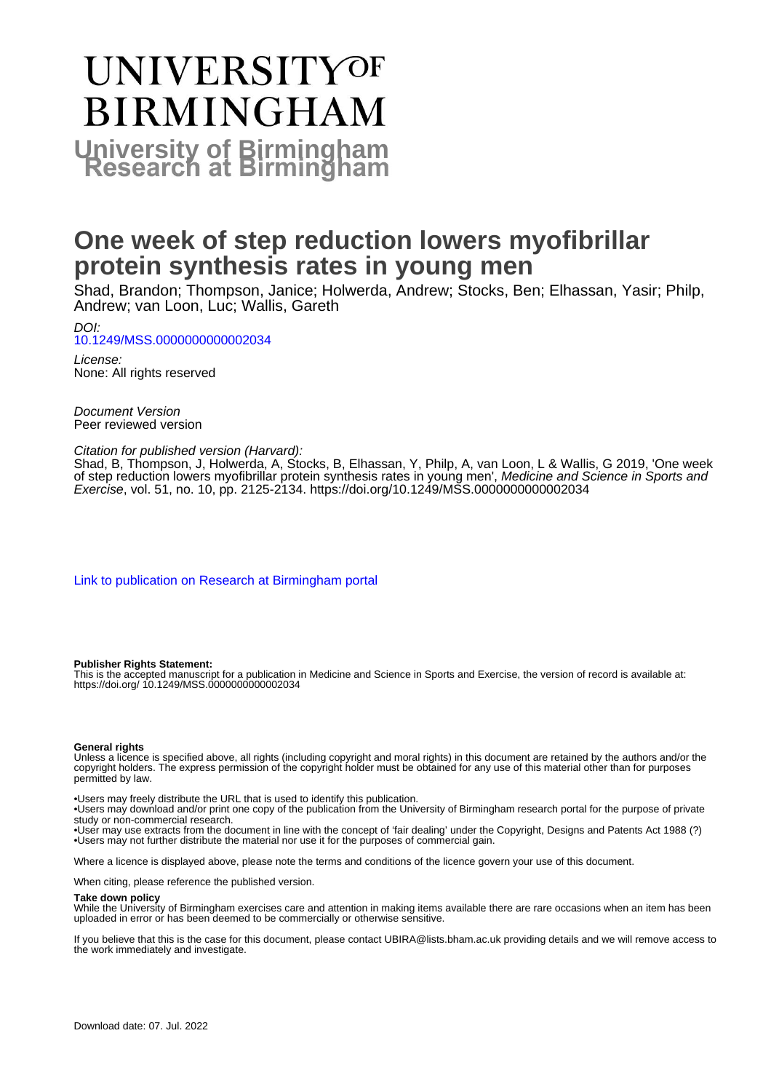# UNIVERSITYOF **BIRMINGHAM University of Birmingham**

# **One week of step reduction lowers myofibrillar protein synthesis rates in young men**

Shad, Brandon; Thompson, Janice; Holwerda, Andrew; Stocks, Ben; Elhassan, Yasir; Philp, Andrew; van Loon, Luc; Wallis, Gareth

DOI: [10.1249/MSS.0000000000002034](https://doi.org/10.1249/MSS.0000000000002034)

License: None: All rights reserved

Document Version Peer reviewed version

#### Citation for published version (Harvard):

Shad, B, Thompson, J, Holwerda, A, Stocks, B, Elhassan, Y, Philp, A, van Loon, L & Wallis, G 2019, 'One week of step reduction lowers myofibrillar protein synthesis rates in young men', Medicine and Science in Sports and Exercise, vol. 51, no. 10, pp. 2125-2134.<https://doi.org/10.1249/MSS.0000000000002034>

[Link to publication on Research at Birmingham portal](https://birmingham.elsevierpure.com/en/publications/d078ea8b-08f2-459e-8029-c06d481a0dec)

#### **Publisher Rights Statement:**

This is the accepted manuscript for a publication in Medicine and Science in Sports and Exercise, the version of record is available at: https://doi.org/ 10.1249/MSS.0000000000002034

#### **General rights**

Unless a licence is specified above, all rights (including copyright and moral rights) in this document are retained by the authors and/or the copyright holders. The express permission of the copyright holder must be obtained for any use of this material other than for purposes permitted by law.

• Users may freely distribute the URL that is used to identify this publication.

• Users may download and/or print one copy of the publication from the University of Birmingham research portal for the purpose of private study or non-commercial research.

• User may use extracts from the document in line with the concept of 'fair dealing' under the Copyright, Designs and Patents Act 1988 (?) • Users may not further distribute the material nor use it for the purposes of commercial gain.

Where a licence is displayed above, please note the terms and conditions of the licence govern your use of this document.

When citing, please reference the published version.

#### **Take down policy**

While the University of Birmingham exercises care and attention in making items available there are rare occasions when an item has been uploaded in error or has been deemed to be commercially or otherwise sensitive.

If you believe that this is the case for this document, please contact UBIRA@lists.bham.ac.uk providing details and we will remove access to the work immediately and investigate.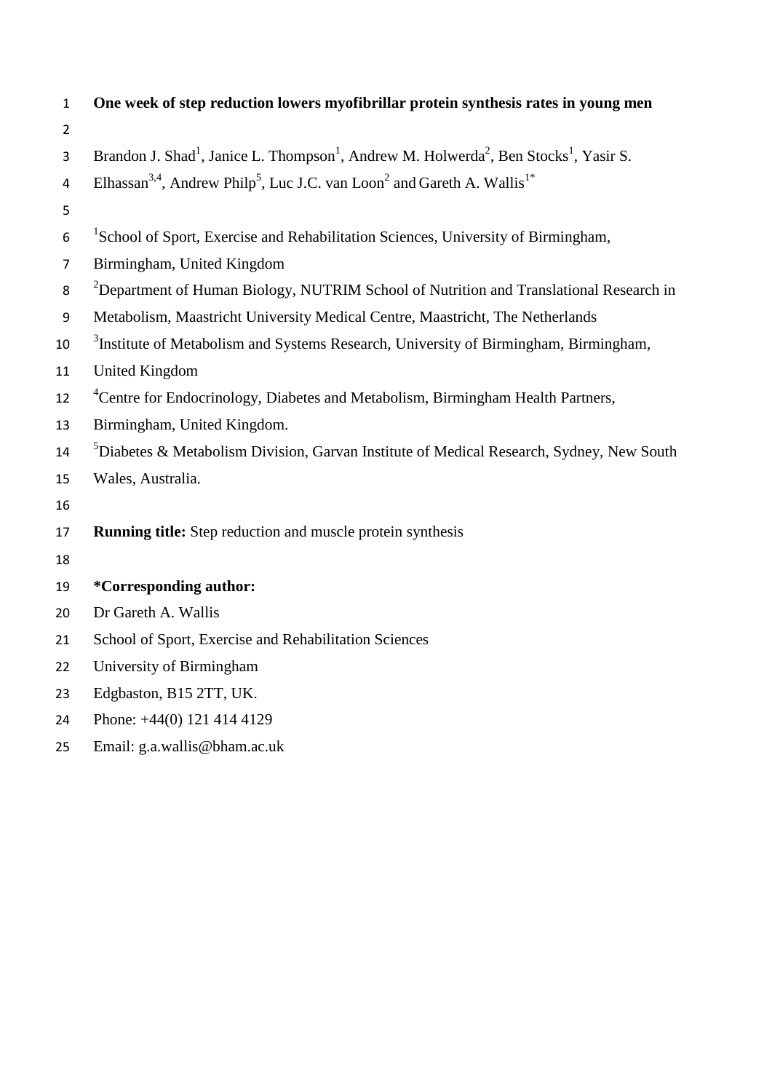| $\mathbf{1}$   | One week of step reduction lowers myofibrillar protein synthesis rates in young men                                                   |  |  |
|----------------|---------------------------------------------------------------------------------------------------------------------------------------|--|--|
| $\overline{2}$ |                                                                                                                                       |  |  |
| 3              | Brandon J. Shad <sup>1</sup> , Janice L. Thompson <sup>1</sup> , Andrew M. Holwerda <sup>2</sup> , Ben Stocks <sup>1</sup> , Yasir S. |  |  |
| $\overline{4}$ | Elhassan <sup>3,4</sup> , Andrew Philp <sup>5</sup> , Luc J.C. van Loon <sup>2</sup> and Gareth A. Wallis <sup>1*</sup>               |  |  |
| 5              |                                                                                                                                       |  |  |
| 6              | <sup>1</sup> School of Sport, Exercise and Rehabilitation Sciences, University of Birmingham,                                         |  |  |
| $\overline{7}$ | Birmingham, United Kingdom                                                                                                            |  |  |
| 8              | <sup>2</sup> Department of Human Biology, NUTRIM School of Nutrition and Translational Research in                                    |  |  |
| $9\,$          | Metabolism, Maastricht University Medical Centre, Maastricht, The Netherlands                                                         |  |  |
| 10             | <sup>3</sup> Institute of Metabolism and Systems Research, University of Birmingham, Birmingham,                                      |  |  |
| 11             | <b>United Kingdom</b>                                                                                                                 |  |  |
| 12             | <sup>4</sup> Centre for Endocrinology, Diabetes and Metabolism, Birmingham Health Partners,                                           |  |  |
| 13             | Birmingham, United Kingdom.                                                                                                           |  |  |
| 14             | ${}^{5}$ Diabetes & Metabolism Division, Garvan Institute of Medical Research, Sydney, New South                                      |  |  |
| 15             | Wales, Australia.                                                                                                                     |  |  |
| 16             |                                                                                                                                       |  |  |
| 17             | <b>Running title:</b> Step reduction and muscle protein synthesis                                                                     |  |  |
| 18             |                                                                                                                                       |  |  |
| 19             | *Corresponding author:                                                                                                                |  |  |
| 20             | Dr Gareth A. Wallis                                                                                                                   |  |  |
| 21             | School of Sport, Exercise and Rehabilitation Sciences                                                                                 |  |  |
| 22             | University of Birmingham                                                                                                              |  |  |
| 23             | Edgbaston, B15 2TT, UK.                                                                                                               |  |  |
| 24             | Phone: +44(0) 121 414 4129                                                                                                            |  |  |

Email: g.a.wallis@bham.ac.uk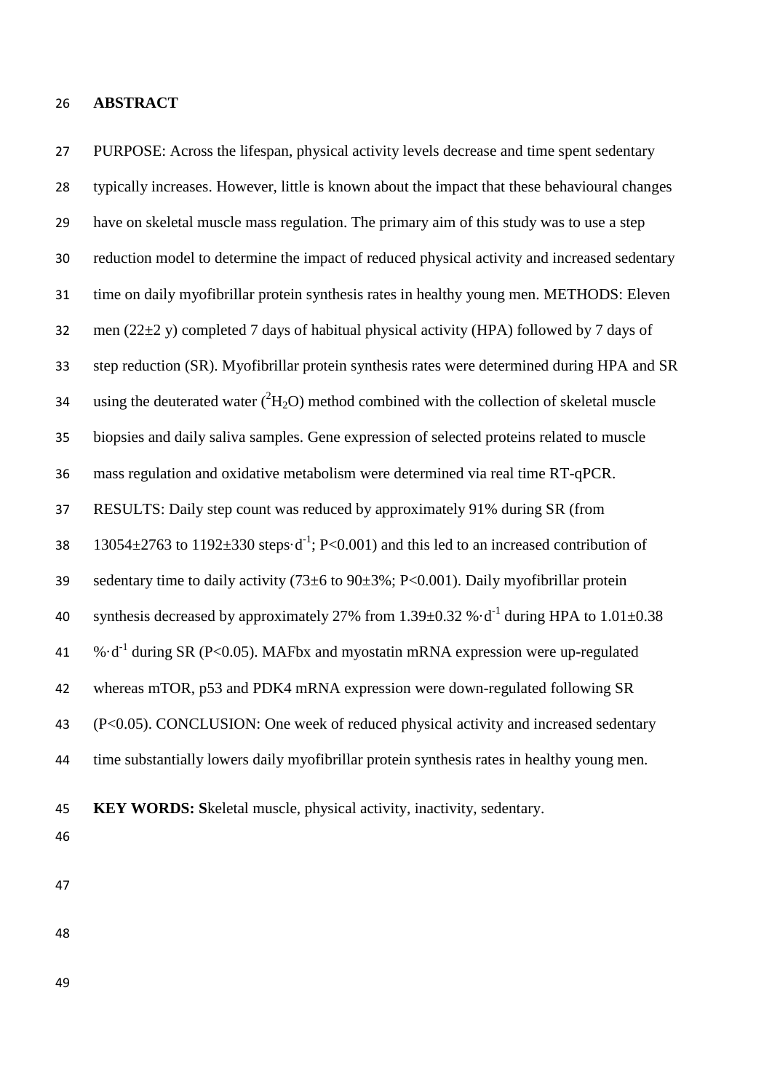#### **ABSTRACT**

 PURPOSE: Across the lifespan, physical activity levels decrease and time spent sedentary typically increases. However, little is known about the impact that these behavioural changes have on skeletal muscle mass regulation. The primary aim of this study was to use a step reduction model to determine the impact of reduced physical activity and increased sedentary time on daily myofibrillar protein synthesis rates in healthy young men. METHODS: Eleven 32 men (22 $\pm$ 2 y) completed 7 days of habitual physical activity (HPA) followed by 7 days of step reduction (SR). Myofibrillar protein synthesis rates were determined during HPA and SR 34 using the deuterated water  $({}^{2}H_{2}O)$  method combined with the collection of skeletal muscle biopsies and daily saliva samples. Gene expression of selected proteins related to muscle mass regulation and oxidative metabolism were determined via real time RT-qPCR. RESULTS: Daily step count was reduced by approximately 91% during SR (from 38 13054 $\pm$ 2763 to 1192 $\pm$ 330 steps·d<sup>-1</sup>; P<0.001) and this led to an increased contribution of 39 sedentary time to daily activity  $(73\pm6 \text{ to } 90\pm3\%; P<0.001)$ . Daily myofibrillar protein 40 synthesis decreased by approximately 27% from 1.39 $\pm$ 0.32 % $\cdot$ d<sup>-1</sup> during HPA to 1.01 $\pm$ 0.38 41 % $\cdot d^{-1}$  during SR (P<0.05). MAFbx and myostatin mRNA expression were up-regulated whereas mTOR, p53 and PDK4 mRNA expression were down-regulated following SR (P<0.05). CONCLUSION: One week of reduced physical activity and increased sedentary time substantially lowers daily myofibrillar protein synthesis rates in healthy young men.

**KEY WORDS: S**keletal muscle, physical activity, inactivity, sedentary.

- 
-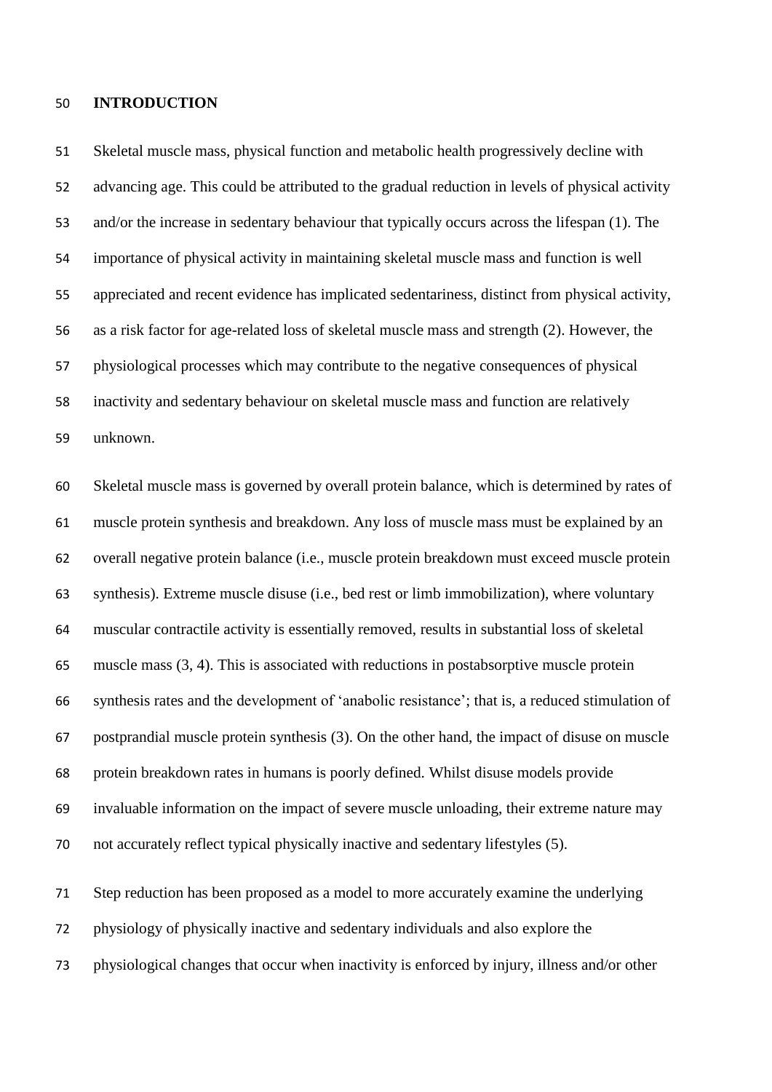#### **INTRODUCTION**

 Skeletal muscle mass, physical function and metabolic health progressively decline with advancing age. This could be attributed to the gradual reduction in levels of physical activity and/or the increase in sedentary behaviour that typically occurs across the lifespan (1). The importance of physical activity in maintaining skeletal muscle mass and function is well appreciated and recent evidence has implicated sedentariness, distinct from physical activity, as a risk factor for age-related loss of skeletal muscle mass and strength (2). However, the physiological processes which may contribute to the negative consequences of physical inactivity and sedentary behaviour on skeletal muscle mass and function are relatively unknown.

 Skeletal muscle mass is governed by overall protein balance, which is determined by rates of muscle protein synthesis and breakdown. Any loss of muscle mass must be explained by an overall negative protein balance (i.e., muscle protein breakdown must exceed muscle protein synthesis). Extreme muscle disuse (i.e., bed rest or limb immobilization), where voluntary muscular contractile activity is essentially removed, results in substantial loss of skeletal muscle mass (3, 4). This is associated with reductions in postabsorptive muscle protein synthesis rates and the development of 'anabolic resistance'; that is, a reduced stimulation of postprandial muscle protein synthesis (3). On the other hand, the impact of disuse on muscle protein breakdown rates in humans is poorly defined. Whilst disuse models provide invaluable information on the impact of severe muscle unloading, their extreme nature may not accurately reflect typical physically inactive and sedentary lifestyles (5).

 Step reduction has been proposed as a model to more accurately examine the underlying physiology of physically inactive and sedentary individuals and also explore the physiological changes that occur when inactivity is enforced by injury, illness and/or other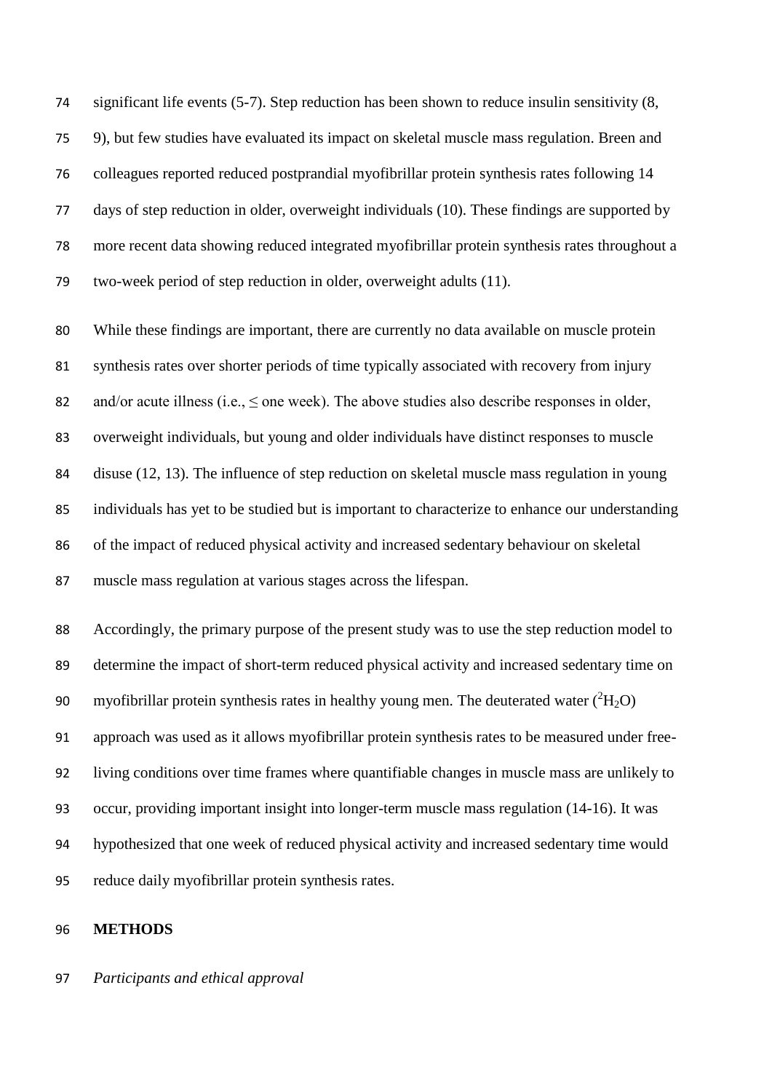significant life events (5-7). Step reduction has been shown to reduce insulin sensitivity (8, 9), but few studies have evaluated its impact on skeletal muscle mass regulation. Breen and colleagues reported reduced postprandial myofibrillar protein synthesis rates following 14 days of step reduction in older, overweight individuals (10). These findings are supported by more recent data showing reduced integrated myofibrillar protein synthesis rates throughout a two-week period of step reduction in older, overweight adults (11).

 While these findings are important, there are currently no data available on muscle protein synthesis rates over shorter periods of time typically associated with recovery from injury 82 and/or acute illness (i.e.,  $\leq$  one week). The above studies also describe responses in older, overweight individuals, but young and older individuals have distinct responses to muscle disuse (12, 13). The influence of step reduction on skeletal muscle mass regulation in young individuals has yet to be studied but is important to characterize to enhance our understanding of the impact of reduced physical activity and increased sedentary behaviour on skeletal muscle mass regulation at various stages across the lifespan.

 Accordingly, the primary purpose of the present study was to use the step reduction model to determine the impact of short-term reduced physical activity and increased sedentary time on 90 myofibrillar protein synthesis rates in healthy young men. The deuterated water  $({}^{2}H_{2}O)$  approach was used as it allows myofibrillar protein synthesis rates to be measured under free- living conditions over time frames where quantifiable changes in muscle mass are unlikely to occur, providing important insight into longer-term muscle mass regulation (14-16). It was hypothesized that one week of reduced physical activity and increased sedentary time would reduce daily myofibrillar protein synthesis rates.

#### **METHODS**

*Participants and ethical approval*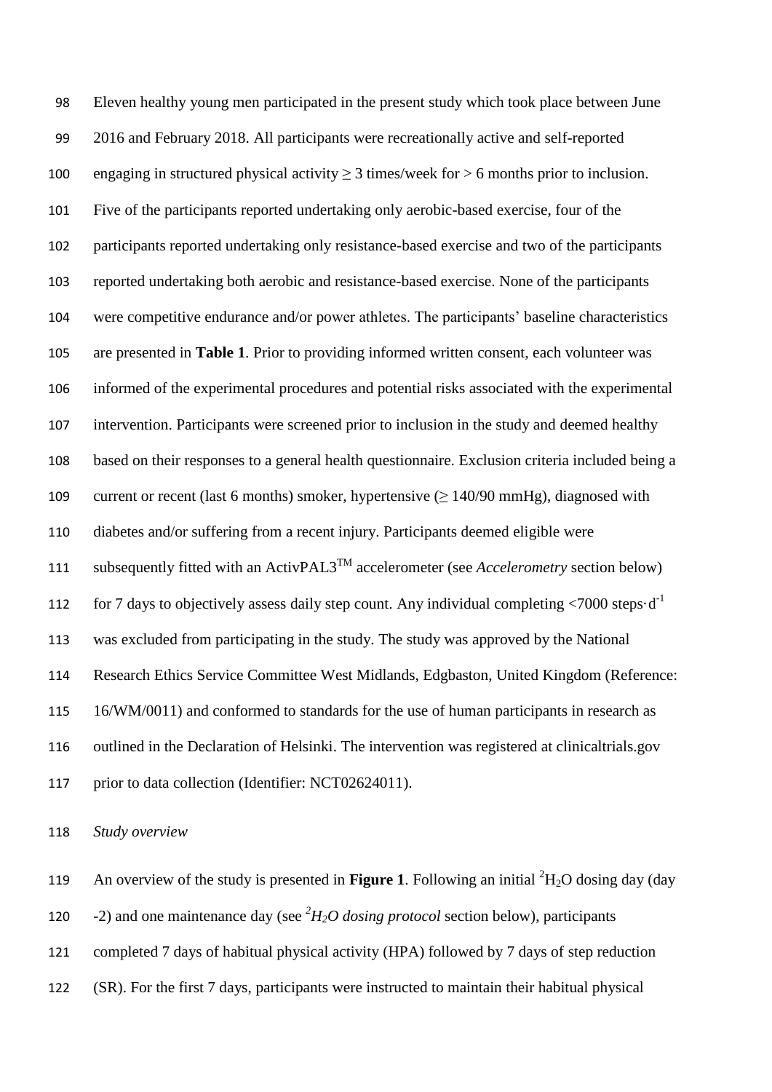Eleven healthy young men participated in the present study which took place between June 2016 and February 2018. All participants were recreationally active and self-reported 100 engaging in structured physical activity  $\geq$  3 times/week for  $>$  6 months prior to inclusion. Five of the participants reported undertaking only aerobic-based exercise, four of the participants reported undertaking only resistance-based exercise and two of the participants reported undertaking both aerobic and resistance-based exercise. None of the participants were competitive endurance and/or power athletes. The participants' baseline characteristics are presented in **Table 1**. Prior to providing informed written consent, each volunteer was informed of the experimental procedures and potential risks associated with the experimental intervention. Participants were screened prior to inclusion in the study and deemed healthy based on their responses to a general health questionnaire. Exclusion criteria included being a 109 current or recent (last 6 months) smoker, hypertensive  $(\geq 140/90 \text{ mmHg})$ , diagnosed with diabetes and/or suffering from a recent injury. Participants deemed eligible were 111 subsequently fitted with an  $\text{ActivPAL3}^{\text{TM}}$  accelerometer (see *Accelerometry* section below) 112 for 7 days to objectively assess daily step count. Any individual completing  $\langle 7000 \text{ steps} \cdot d^{-1}$  was excluded from participating in the study. The study was approved by the National Research Ethics Service Committee West Midlands, Edgbaston, United Kingdom (Reference: 16/WM/0011) and conformed to standards for the use of human participants in research as outlined in the Declaration of Helsinki. The intervention was registered at clinicaltrials.gov 117 prior to data collection (Identifier: NCT02624011).

*Study overview*

119 An overview of the study is presented in **Figure 1**. Following an initial  ${}^{2}H_{2}O$  dosing day (day

120 -2) and one maintenance day (see <sup>2</sup>H<sub>2</sub>O dosing protocol section below), participants

completed 7 days of habitual physical activity (HPA) followed by 7 days of step reduction

(SR). For the first 7 days, participants were instructed to maintain their habitual physical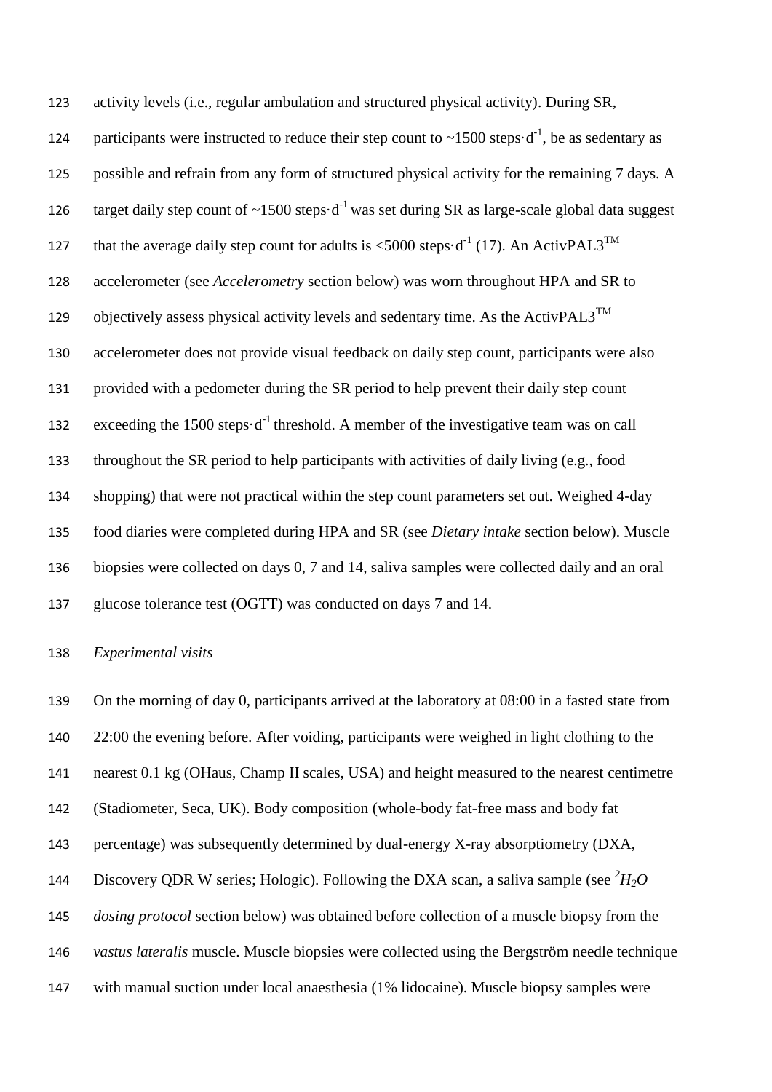activity levels (i.e., regular ambulation and structured physical activity). During SR, 124 participants were instructed to reduce their step count to  $\sim$ 1500 steps $\cdot$ d<sup>-1</sup>, be as sedentary as possible and refrain from any form of structured physical activity for the remaining 7 days. A target daily step count of  $\sim$ 1500 steps $\cdot$ d<sup>-1</sup> was set during SR as large-scale global data suggest 127 that the average daily step count for adults is <5000 steps $\cdot d^{-1}$  (17). An ActivPAL3<sup>TM</sup> accelerometer (see *Accelerometry* section below) was worn throughout HPA and SR to 129 objectively assess physical activity levels and sedentary time. As the ActivPAL3<sup>TM</sup> accelerometer does not provide visual feedback on daily step count, participants were also provided with a pedometer during the SR period to help prevent their daily step count 132 exceeding the 1500 steps $\cdot d^{-1}$  threshold. A member of the investigative team was on call throughout the SR period to help participants with activities of daily living (e.g., food shopping) that were not practical within the step count parameters set out. Weighed 4-day food diaries were completed during HPA and SR (see *Dietary intake* section below). Muscle biopsies were collected on days 0, 7 and 14, saliva samples were collected daily and an oral glucose tolerance test (OGTT) was conducted on days 7 and 14.

#### *Experimental visits*

 On the morning of day 0, participants arrived at the laboratory at 08:00 in a fasted state from 22:00 the evening before. After voiding, participants were weighed in light clothing to the nearest 0.1 kg (OHaus, Champ II scales, USA) and height measured to the nearest centimetre (Stadiometer, Seca, UK). Body composition (whole-body fat-free mass and body fat percentage) was subsequently determined by dual-energy X-ray absorptiometry (DXA, 144 Discovery QDR W series; Hologic). Following the DXA scan, a saliva sample (see  ${}^{2}H_{2}O$  *dosing protocol* section below) was obtained before collection of a muscle biopsy from the *vastus lateralis* muscle. Muscle biopsies were collected using the Bergström needle technique with manual suction under local anaesthesia (1% lidocaine). Muscle biopsy samples were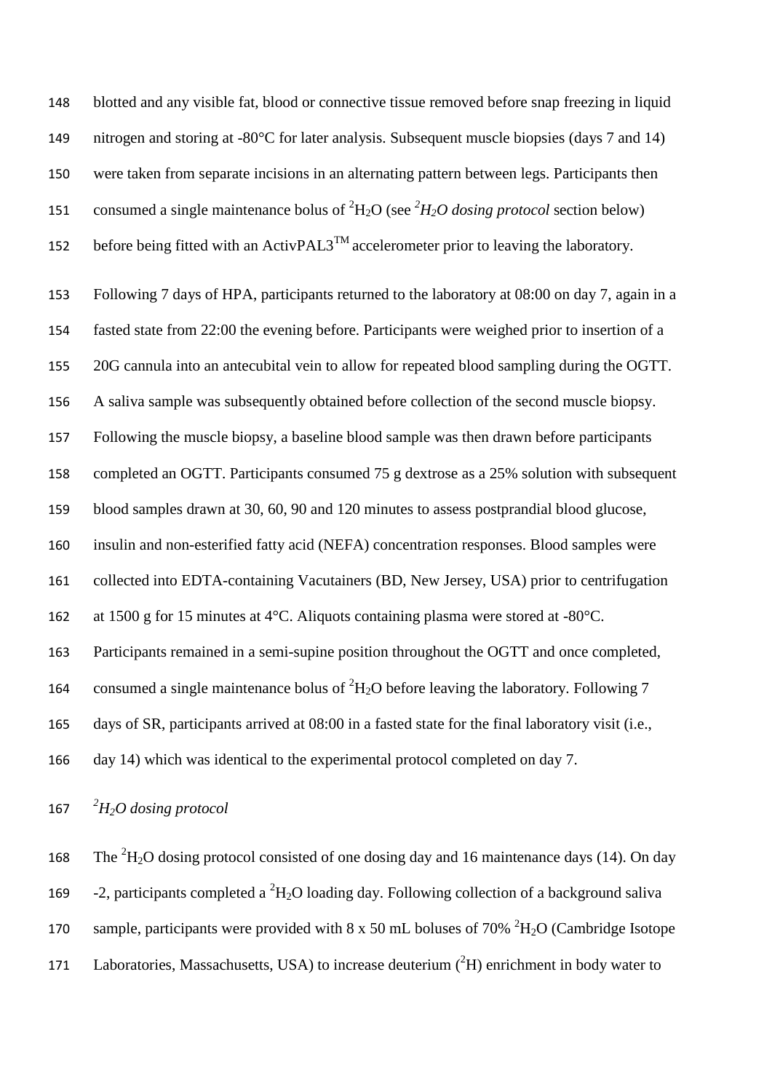blotted and any visible fat, blood or connective tissue removed before snap freezing in liquid nitrogen and storing at -80°C for later analysis. Subsequent muscle biopsies (days 7 and 14) were taken from separate incisions in an alternating pattern between legs. Participants then 151 consumed a single maintenance bolus of  ${}^{2}H_{2}O$  (see  ${}^{2}H_{2}O$  dosing protocol section below) 152 before being fitted with an ActivPAL3<sup>TM</sup> accelerometer prior to leaving the laboratory. Following 7 days of HPA, participants returned to the laboratory at 08:00 on day 7, again in a fasted state from 22:00 the evening before. Participants were weighed prior to insertion of a 20G cannula into an antecubital vein to allow for repeated blood sampling during the OGTT. A saliva sample was subsequently obtained before collection of the second muscle biopsy. Following the muscle biopsy, a baseline blood sample was then drawn before participants completed an OGTT. Participants consumed 75 g dextrose as a 25% solution with subsequent blood samples drawn at 30, 60, 90 and 120 minutes to assess postprandial blood glucose, insulin and non-esterified fatty acid (NEFA) concentration responses. Blood samples were collected into EDTA-containing Vacutainers (BD, New Jersey, USA) prior to centrifugation at 1500 g for 15 minutes at 4°C. Aliquots containing plasma were stored at -80°C. Participants remained in a semi-supine position throughout the OGTT and once completed, 164 consumed a single maintenance bolus of  ${}^{2}H_{2}O$  before leaving the laboratory. Following 7 days of SR, participants arrived at 08:00 in a fasted state for the final laboratory visit (i.e., day 14) which was identical to the experimental protocol completed on day 7.

*2 H2O dosing protocol*

168 The  ${}^{2}H_{2}O$  dosing protocol consisted of one dosing day and 16 maintenance days (14). On day 169 -2, participants completed a  ${}^{2}H_{2}O$  loading day. Following collection of a background saliva 170 sample, participants were provided with 8 x 50 mL boluses of 70%  ${}^{2}H_{2}O$  (Cambridge Isotope 171 Laboratories, Massachusetts, USA) to increase deuterium  $(^{2}H)$  enrichment in body water to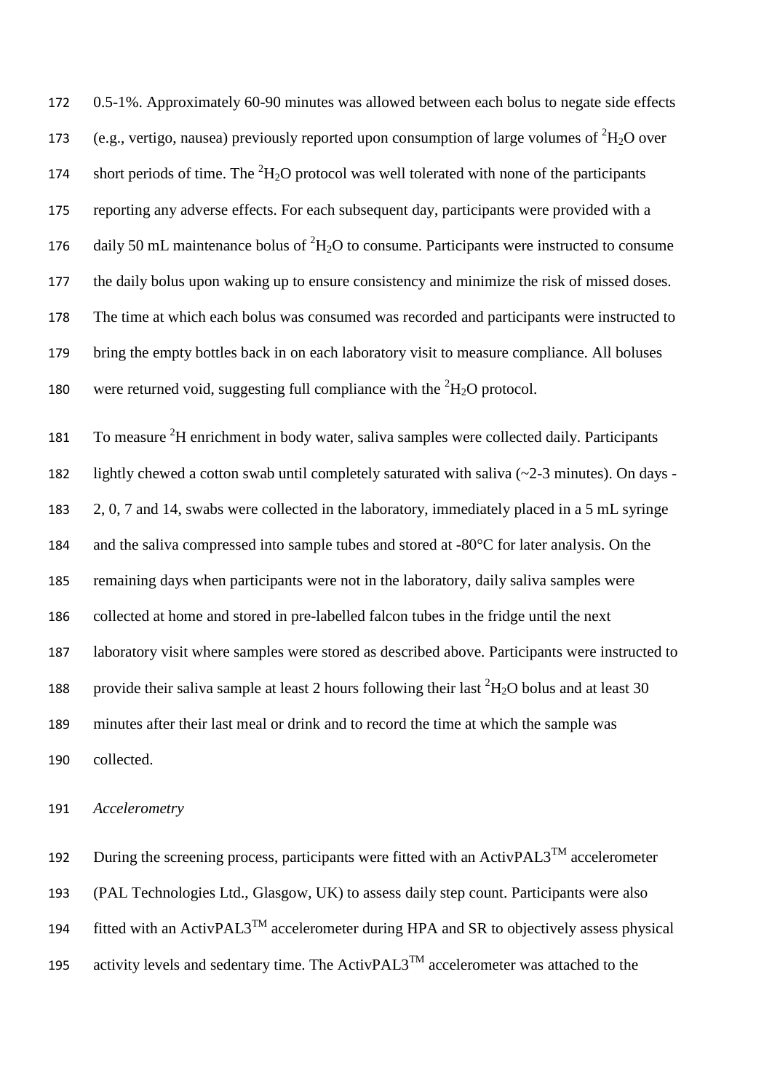0.5-1%. Approximately 60-90 minutes was allowed between each bolus to negate side effects 173 (e.g., vertigo, nausea) previously reported upon consumption of large volumes of  ${}^{2}H_{2}O$  over 174 short periods of time. The  ${}^{2}H_{2}O$  protocol was well tolerated with none of the participants reporting any adverse effects. For each subsequent day, participants were provided with a 176 daily 50 mL maintenance bolus of  ${}^{2}H_{2}O$  to consume. Participants were instructed to consume the daily bolus upon waking up to ensure consistency and minimize the risk of missed doses. The time at which each bolus was consumed was recorded and participants were instructed to bring the empty bottles back in on each laboratory visit to measure compliance. All boluses 180 were returned void, suggesting full compliance with the  ${}^{2}H_{2}O$  protocol. 181 To measure <sup>2</sup>H enrichment in body water, saliva samples were collected daily. Participants lightly chewed a cotton swab until completely saturated with saliva (~2-3 minutes). On days - 2, 0, 7 and 14, swabs were collected in the laboratory, immediately placed in a 5 mL syringe 184 and the saliva compressed into sample tubes and stored at -80°C for later analysis. On the remaining days when participants were not in the laboratory, daily saliva samples were collected at home and stored in pre-labelled falcon tubes in the fridge until the next laboratory visit where samples were stored as described above. Participants were instructed to 188 provide their saliva sample at least 2 hours following their last  ${}^{2}H_{2}O$  bolus and at least 30 minutes after their last meal or drink and to record the time at which the sample was collected.

#### 191 *Accelerometry*

192 During the screening process, participants were fitted with an  $\text{ActivPAL3}^{\text{TM}}$  accelerometer 193 (PAL Technologies Ltd., Glasgow, UK) to assess daily step count. Participants were also 194 fitted with an ActivPAL3<sup>TM</sup> accelerometer during HPA and SR to objectively assess physical 195 activity levels and sedentary time. The ActivPAL3<sup>TM</sup> accelerometer was attached to the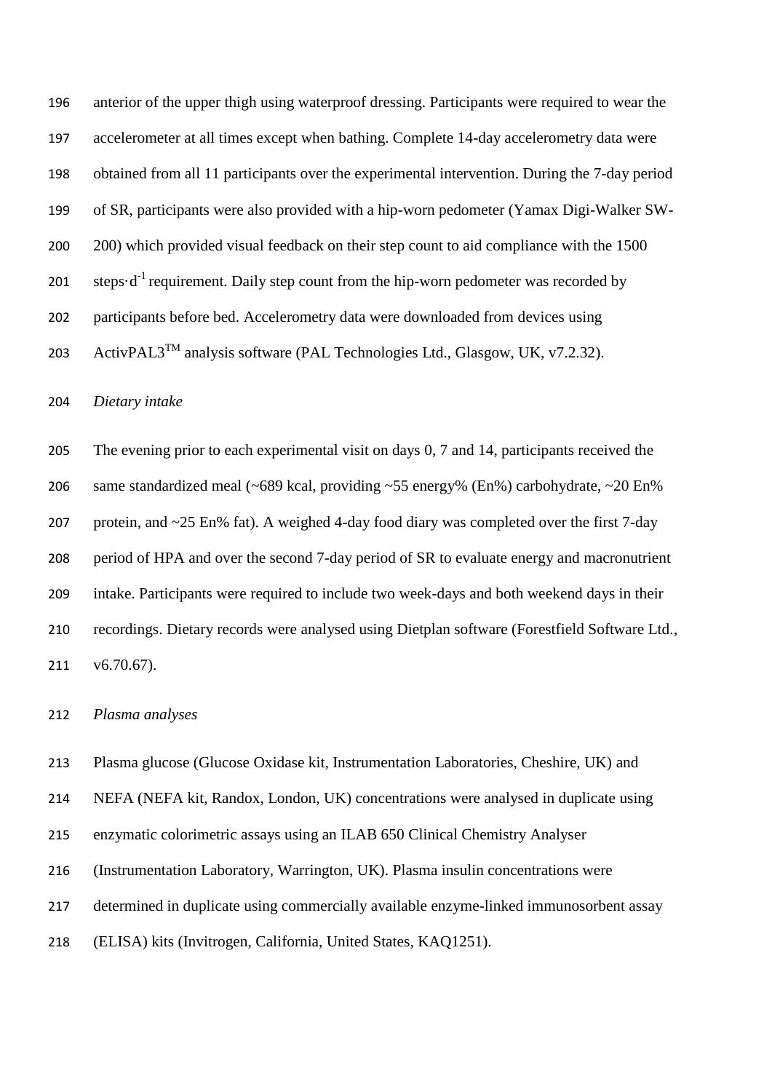anterior of the upper thigh using waterproof dressing. Participants were required to wear the accelerometer at all times except when bathing. Complete 14-day accelerometry data were obtained from all 11 participants over the experimental intervention. During the 7-day period of SR, participants were also provided with a hip-worn pedometer (Yamax Digi-Walker SW-200 200) which provided visual feedback on their step count to aid compliance with the 1500 201 steps $d^{-1}$  requirement. Daily step count from the hip-worn pedometer was recorded by participants before bed. Accelerometry data were downloaded from devices using 203 ActivPAL3<sup>TM</sup> analysis software (PAL Technologies Ltd., Glasgow, UK, v7.2.32).

*Dietary intake*

 The evening prior to each experimental visit on days 0, 7 and 14, participants received the same standardized meal (~689 kcal, providing ~55 energy% (En%) carbohydrate, ~20 En% protein, and ~25 En% fat). A weighed 4-day food diary was completed over the first 7-day period of HPA and over the second 7-day period of SR to evaluate energy and macronutrient intake. Participants were required to include two week-days and both weekend days in their recordings. Dietary records were analysed using Dietplan software (Forestfield Software Ltd., v6.70.67).

*Plasma analyses*

Plasma glucose (Glucose Oxidase kit, Instrumentation Laboratories, Cheshire, UK) and

NEFA (NEFA kit, Randox, London, UK) concentrations were analysed in duplicate using

enzymatic colorimetric assays using an ILAB 650 Clinical Chemistry Analyser

(Instrumentation Laboratory, Warrington, UK). Plasma insulin concentrations were

determined in duplicate using commercially available enzyme-linked immunosorbent assay

(ELISA) kits (Invitrogen, California, United States, KAQ1251).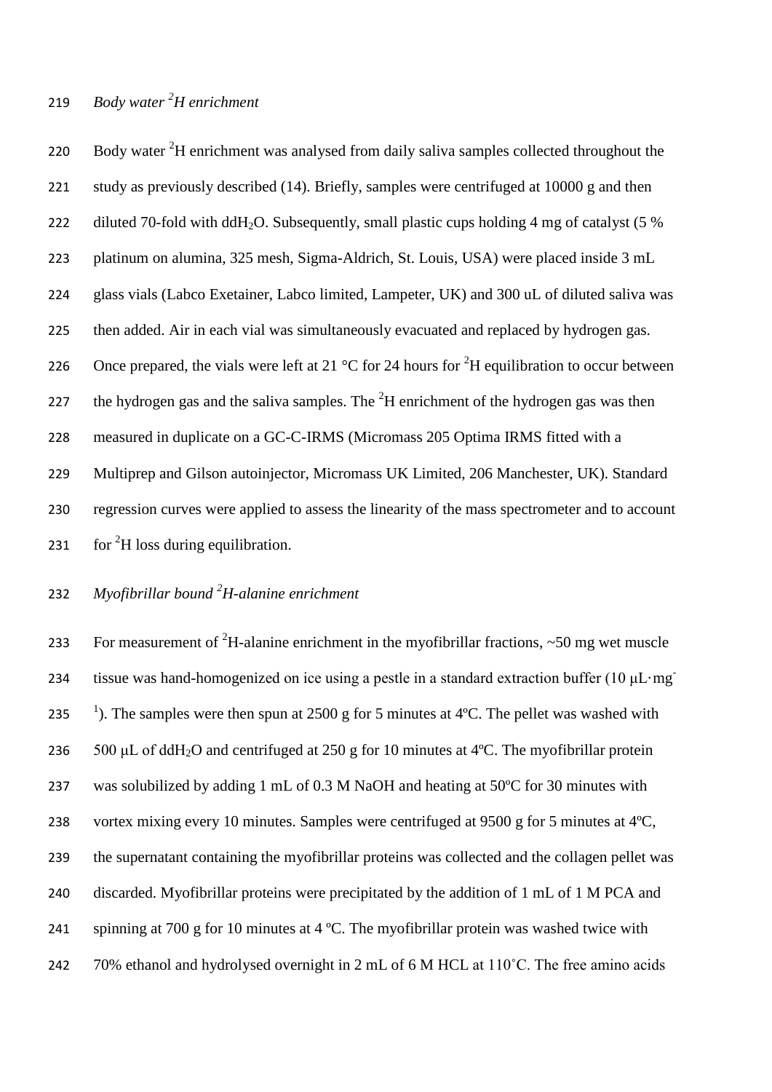# *Body water <sup>2</sup>* 219 *H enrichment*

220 Body water  ${}^{2}H$  enrichment was analysed from daily saliva samples collected throughout the 221 study as previously described (14). Briefly, samples were centrifuged at 10000 g and then 222 diluted 70-fold with ddH<sub>2</sub>O. Subsequently, small plastic cups holding 4 mg of catalyst (5 % 223 platinum on alumina, 325 mesh, Sigma-Aldrich, St. Louis, USA) were placed inside 3 mL 224 glass vials (Labco Exetainer, Labco limited, Lampeter, UK) and 300 uL of diluted saliva was 225 then added. Air in each vial was simultaneously evacuated and replaced by hydrogen gas. 226 Once prepared, the vials were left at 21  $\rm{^{\circ}C}$  for 24 hours for  $\rm{^2H}$  equilibration to occur between 227 the hydrogen gas and the saliva samples. The  ${}^{2}H$  enrichment of the hydrogen gas was then 228 measured in duplicate on a GC-C-IRMS (Micromass 205 Optima IRMS fitted with a 229 Multiprep and Gilson autoinjector, Micromass UK Limited, 206 Manchester, UK). Standard 230 regression curves were applied to assess the linearity of the mass spectrometer and to account 231 for  ${}^{2}H$  loss during equilibration.

# *Myofibrillar bound <sup>2</sup>* 232 *H-alanine enrichment*

233 For measurement of <sup>2</sup>H-alanine enrichment in the myofibrillar fractions,  $\sim$  50 mg wet muscle tissue was hand-homogenized on ice using a pestle in a standard extraction buffer (10 μL·mg) 234 235 <sup>1</sup>). The samples were then spun at 2500 g for 5 minutes at 4°C. The pellet was washed with 236 500 μL of ddH<sub>2</sub>O and centrifuged at 250 g for 10 minutes at 4<sup>o</sup>C. The myofibrillar protein 237 was solubilized by adding 1 mL of 0.3 M NaOH and heating at 50ºC for 30 minutes with 238 vortex mixing every 10 minutes. Samples were centrifuged at 9500 g for 5 minutes at 4ºC, 239 the supernatant containing the myofibrillar proteins was collected and the collagen pellet was 240 discarded. Myofibrillar proteins were precipitated by the addition of 1 mL of 1 M PCA and 241 spinning at 700 g for 10 minutes at 4 ºC. The myofibrillar protein was washed twice with 242 70% ethanol and hydrolysed overnight in 2 mL of 6 M HCL at 110°C. The free amino acids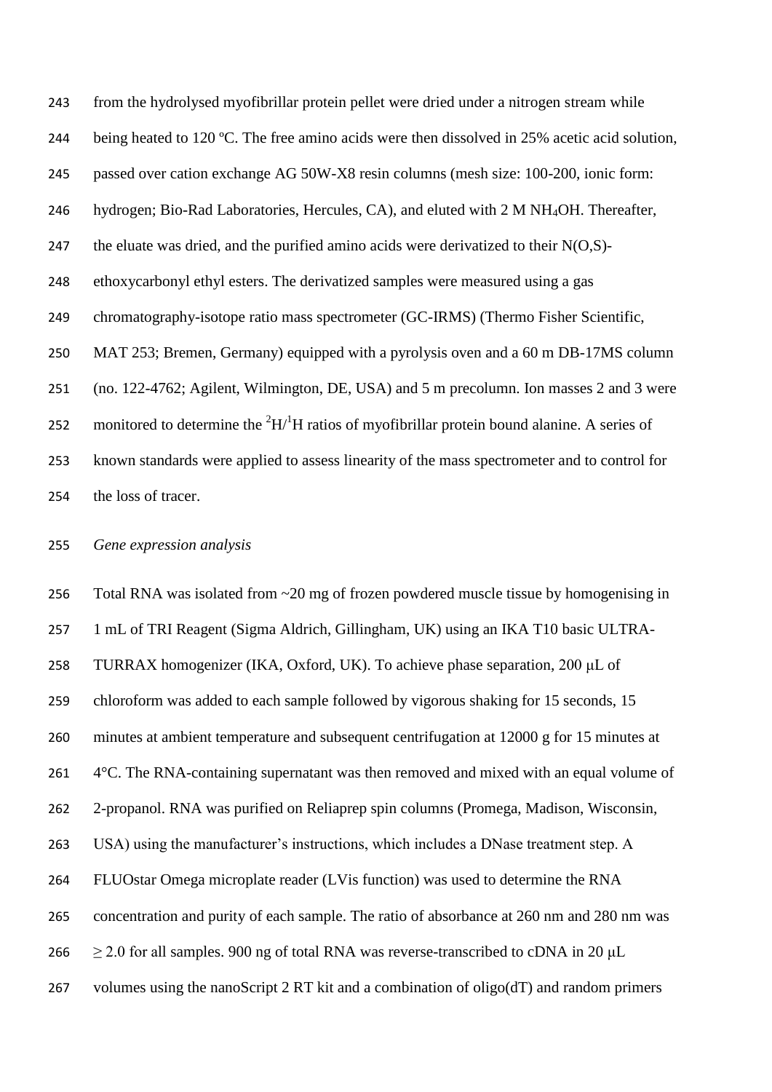from the hydrolysed myofibrillar protein pellet were dried under a nitrogen stream while 244 being heated to 120 °C. The free amino acids were then dissolved in 25% acetic acid solution, passed over cation exchange AG 50W-X8 resin columns (mesh size: 100-200, ionic form: 246 hydrogen; Bio-Rad Laboratories, Hercules, CA), and eluted with 2 M NH<sub>4</sub>OH. Thereafter, 247 the eluate was dried, and the purified amino acids were derivatized to their  $N(O,S)$ - ethoxycarbonyl ethyl esters. The derivatized samples were measured using a gas chromatography-isotope ratio mass spectrometer (GC-IRMS) (Thermo Fisher Scientific, MAT 253; Bremen, Germany) equipped with a pyrolysis oven and a 60 m DB-17MS column (no. 122-4762; Agilent, Wilmington, DE, USA) and 5 m precolumn. Ion masses 2 and 3 were 252 monitored to determine the  ${}^{2}H/{}^{1}H$  ratios of myofibrillar protein bound alanine. A series of known standards were applied to assess linearity of the mass spectrometer and to control for the loss of tracer.

*Gene expression analysis*

 Total RNA was isolated from ~20 mg of frozen powdered muscle tissue by homogenising in 1 mL of TRI Reagent (Sigma Aldrich, Gillingham, UK) using an IKA T10 basic ULTRA- TURRAX homogenizer (IKA, Oxford, UK). To achieve phase separation, 200 μL of chloroform was added to each sample followed by vigorous shaking for 15 seconds, 15 minutes at ambient temperature and subsequent centrifugation at 12000 g for 15 minutes at 261 4°C. The RNA-containing supernatant was then removed and mixed with an equal volume of 2-propanol. RNA was purified on Reliaprep spin columns (Promega, Madison, Wisconsin, USA) using the manufacturer's instructions, which includes a DNase treatment step. A FLUOstar Omega microplate reader (LVis function) was used to determine the RNA concentration and purity of each sample. The ratio of absorbance at 260 nm and 280 nm was  $\geq$  2.0 for all samples. 900 ng of total RNA was reverse-transcribed to cDNA in 20 µL volumes using the nanoScript 2 RT kit and a combination of oligo(dT) and random primers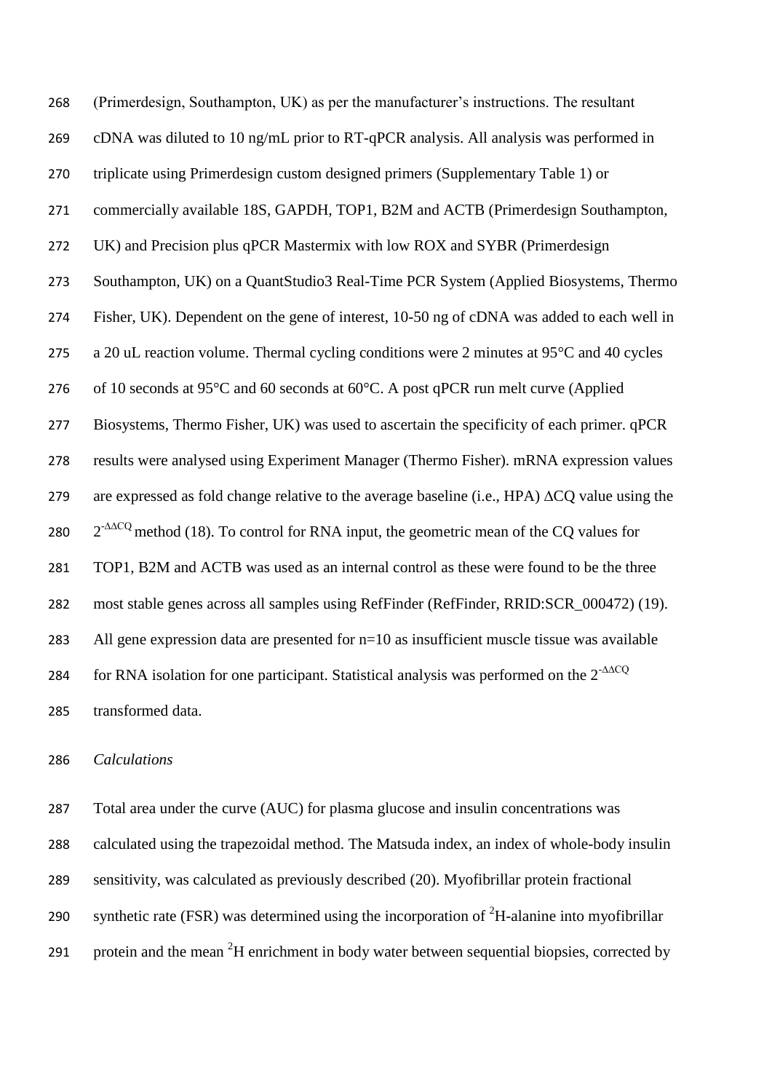| 268 | (Primerdesign, Southampton, UK) as per the manufacturer's instructions. The resultant                   |
|-----|---------------------------------------------------------------------------------------------------------|
| 269 | cDNA was diluted to 10 ng/mL prior to RT-qPCR analysis. All analysis was performed in                   |
| 270 | triplicate using Primerdesign custom designed primers (Supplementary Table 1) or                        |
| 271 | commercially available 18S, GAPDH, TOP1, B2M and ACTB (Primerdesign Southampton,                        |
| 272 | UK) and Precision plus qPCR Mastermix with low ROX and SYBR (Primerdesign                               |
| 273 | Southampton, UK) on a QuantStudio3 Real-Time PCR System (Applied Biosystems, Thermo                     |
| 274 | Fisher, UK). Dependent on the gene of interest, 10-50 ng of cDNA was added to each well in              |
| 275 | a 20 uL reaction volume. Thermal cycling conditions were 2 minutes at 95°C and 40 cycles                |
| 276 | of 10 seconds at 95°C and 60 seconds at 60°C. A post qPCR run melt curve (Applied                       |
| 277 | Biosystems, Thermo Fisher, UK) was used to ascertain the specificity of each primer. qPCR               |
| 278 | results were analysed using Experiment Manager (Thermo Fisher). mRNA expression values                  |
| 279 | are expressed as fold change relative to the average baseline (i.e., HPA) $\Delta CQ$ value using the   |
| 280 | $2^{-\Delta\Delta CQ}$ method (18). To control for RNA input, the geometric mean of the CQ values for   |
| 281 | TOP1, B2M and ACTB was used as an internal control as these were found to be the three                  |
| 282 | most stable genes across all samples using RefFinder (RefFinder, RRID:SCR_000472) (19).                 |
| 283 | All gene expression data are presented for $n=10$ as insufficient muscle tissue was available           |
| 284 | for RNA isolation for one participant. Statistical analysis was performed on the $2^{-\Delta\Delta CQ}$ |
| 285 | transformed data.                                                                                       |

# *Calculations*

 Total area under the curve (AUC) for plasma glucose and insulin concentrations was calculated using the trapezoidal method. The Matsuda index, an index of whole-body insulin sensitivity, was calculated as previously described (20). Myofibrillar protein fractional 290 synthetic rate (FSR) was determined using the incorporation of  ${}^{2}H$ -alanine into myofibrillar 291 protein and the mean  $2H$  enrichment in body water between sequential biopsies, corrected by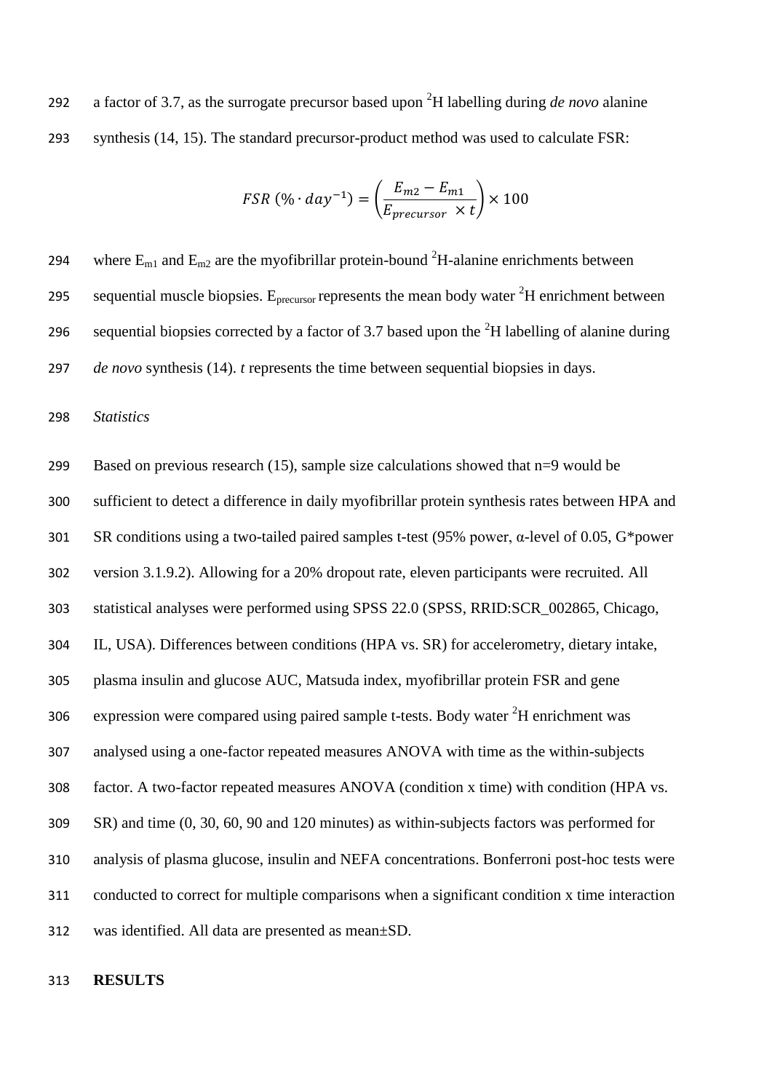292 a factor of 3.7, as the surrogate precursor based upon  ${}^{2}H$  labelling during *de novo* alanine synthesis (14, 15). The standard precursor-product method was used to calculate FSR:

$$
FSR\ (\% \cdot day^{-1}) = \left(\frac{E_{m2} - E_{m1}}{E_{precursor} \times t}\right) \times 100
$$

294 where  $E_{m1}$  and  $E_{m2}$  are the myofibrillar protein-bound <sup>2</sup>H-alanine enrichments between 295 sequential muscle biopsies.  $E_{precursor}$  represents the mean body water  ${}^{2}H$  enrichment between 296 sequential biopsies corrected by a factor of 3.7 based upon the  ${}^{2}H$  labelling of alanine during *de novo* synthesis (14). *t* represents the time between sequential biopsies in days.

*Statistics*

 Based on previous research (15), sample size calculations showed that n=9 would be sufficient to detect a difference in daily myofibrillar protein synthesis rates between HPA and SR conditions using a two-tailed paired samples t-test (95% power, α-level of 0.05, G\*power version 3.1.9.2). Allowing for a 20% dropout rate, eleven participants were recruited. All statistical analyses were performed using SPSS 22.0 (SPSS, RRID:SCR\_002865, Chicago, IL, USA). Differences between conditions (HPA vs. SR) for accelerometry, dietary intake, plasma insulin and glucose AUC, Matsuda index, myofibrillar protein FSR and gene 306 expression were compared using paired sample t-tests. Body water  ${}^{2}H$  enrichment was analysed using a one-factor repeated measures ANOVA with time as the within-subjects factor. A two-factor repeated measures ANOVA (condition x time) with condition (HPA vs. SR) and time (0, 30, 60, 90 and 120 minutes) as within-subjects factors was performed for analysis of plasma glucose, insulin and NEFA concentrations. Bonferroni post-hoc tests were conducted to correct for multiple comparisons when a significant condition x time interaction was identified. All data are presented as mean±SD.

#### **RESULTS**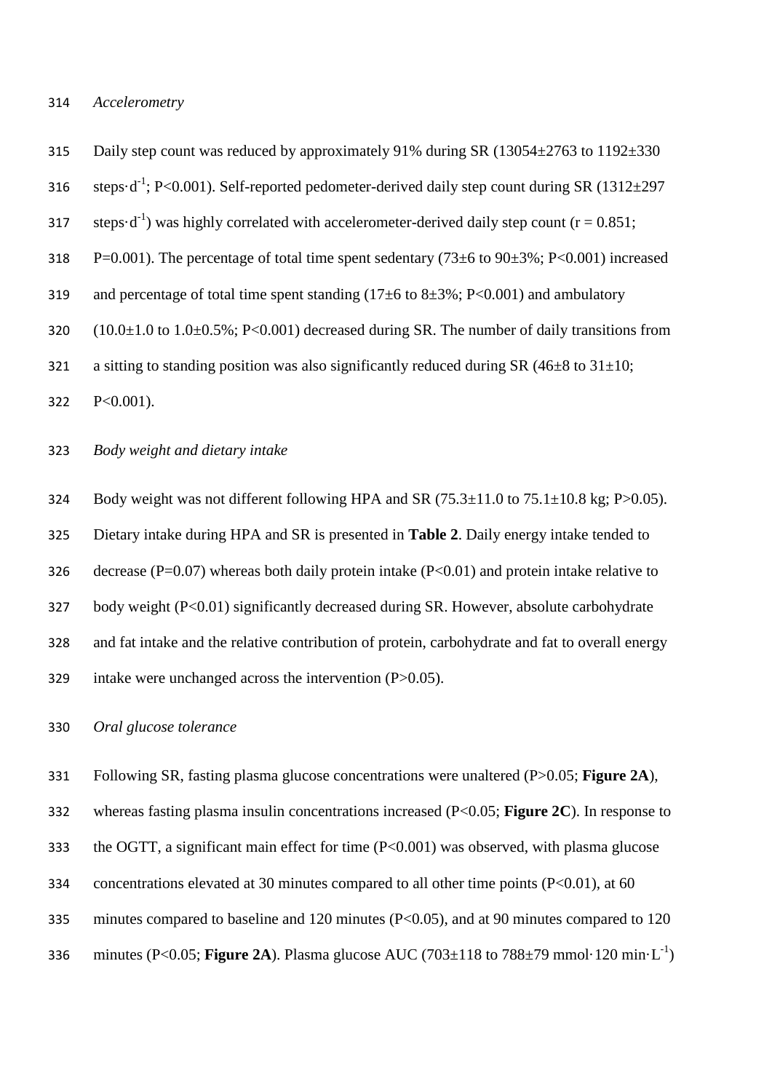#### 314 *Accelerometry*

315 Daily step count was reduced by approximately 91% during SR (13054 $\pm$ 2763 to 1192 $\pm$ 330

- 316 steps·d<sup>-1</sup>; P<0.001). Self-reported pedometer-derived daily step count during SR  $(1312\pm 297)$
- 317 steps $\cdot$ d<sup>-1</sup>) was highly correlated with accelerometer-derived daily step count (r = 0.851;
- 318 P=0.001). The percentage of total time spent sedentary  $(73\pm6$  to  $90\pm3\%$ ; P<0.001) increased
- 319 and percentage of total time spent standing  $(17±6$  to  $8±3\%$ ; P<0.001) and ambulatory
- 320  $(10.0\pm1.0 \text{ to } 1.0\pm0.5\%; P<0.001)$  decreased during SR. The number of daily transitions from
- 321 a sitting to standing position was also significantly reduced during SR  $(46\pm8 \text{ to } 31\pm10;$
- 322 P<0.001).

#### 323 *Body weight and dietary intake*

324 Body weight was not different following HPA and SR  $(75.3\pm11.0$  to  $75.1\pm10.8$  kg; P $>0.05$ ). 325 Dietary intake during HPA and SR is presented in **Table 2**. Daily energy intake tended to 326 decrease (P=0.07) whereas both daily protein intake (P<0.01) and protein intake relative to 327 body weight (P<0.01) significantly decreased during SR. However, absolute carbohydrate 328 and fat intake and the relative contribution of protein, carbohydrate and fat to overall energy

329 intake were unchanged across the intervention (P>0.05).

#### 330 *Oral glucose tolerance*

- 331 Following SR, fasting plasma glucose concentrations were unaltered (P>0.05; **Figure 2A**),
- 332 whereas fasting plasma insulin concentrations increased (P<0.05; **Figure 2C**). In response to
- 333 the OGTT, a significant main effect for time (P<0.001) was observed, with plasma glucose
- 334 concentrations elevated at 30 minutes compared to all other time points (P<0.01), at 60
- 335 minutes compared to baseline and 120 minutes (P<0.05), and at 90 minutes compared to 120
- 336 minutes (P<0.05; **Figure 2A**). Plasma glucose AUC (703 $\pm$ 118 to 788 $\pm$ 79 mmol·120 min·L<sup>-1</sup>)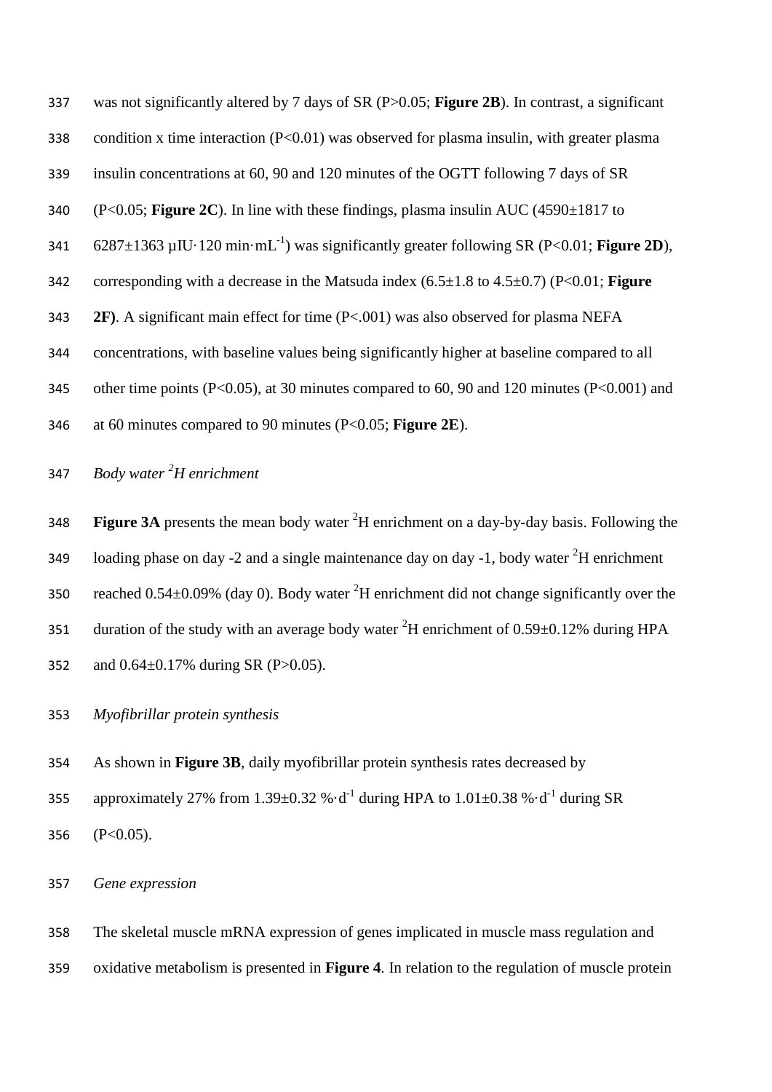| 337 | was not significantly altered by 7 days of SR ( $P > 0.05$ ; Figure 2B). In contrast, a significant      |
|-----|----------------------------------------------------------------------------------------------------------|
| 338 | condition x time interaction $(P<0.01)$ was observed for plasma insulin, with greater plasma             |
| 339 | insulin concentrations at 60, 90 and 120 minutes of the OGTT following 7 days of SR                      |
| 340 | $(P<0.05$ ; Figure 2C). In line with these findings, plasma insulin AUC $(4590\pm1817)$ to               |
| 341 | $6287\pm1363$ µIU·120 min·mL <sup>-1</sup> ) was significantly greater following SR (P<0.01; Figure 2D), |
| 342 | corresponding with a decrease in the Matsuda index $(6.5\pm1.8 \text{ to } 4.5\pm0.7)$ (P<0.01; Figure   |
| 343 | <b>2F).</b> A significant main effect for time $(P<.001)$ was also observed for plasma NEFA              |
| 344 | concentrations, with baseline values being significantly higher at baseline compared to all              |
| 345 | other time points (P<0.05), at 30 minutes compared to 60, 90 and 120 minutes (P<0.001) and               |
| 346 | at 60 minutes compared to 90 minutes ( $P < 0.05$ ; Figure 2E).                                          |

# *Body water <sup>2</sup> H enrichment*

**Figure 3A** presents the mean body water  ${}^{2}H$  enrichment on a day-by-day basis. Following the 349 Ioading phase on day -2 and a single maintenance day on day -1, body water  ${}^{2}H$  enrichment 350 reached  $0.54\pm0.09\%$  (day 0). Body water <sup>2</sup>H enrichment did not change significantly over the 351 duration of the study with an average body water <sup>2</sup>H enrichment of  $0.59\pm0.12\%$  during HPA and 0.64±0.17% during SR (P>0.05).

## *Myofibrillar protein synthesis*

As shown in **Figure 3B**, daily myofibrillar protein synthesis rates decreased by

355 approximately 27% from 1.39 $\pm$ 0.32 % $\cdot$ d<sup>-1</sup> during HPA to 1.01 $\pm$ 0.38 % $\cdot$ d<sup>-1</sup> during SR (P<0.05).

*Gene expression*

 The skeletal muscle mRNA expression of genes implicated in muscle mass regulation and oxidative metabolism is presented in **Figure 4**. In relation to the regulation of muscle protein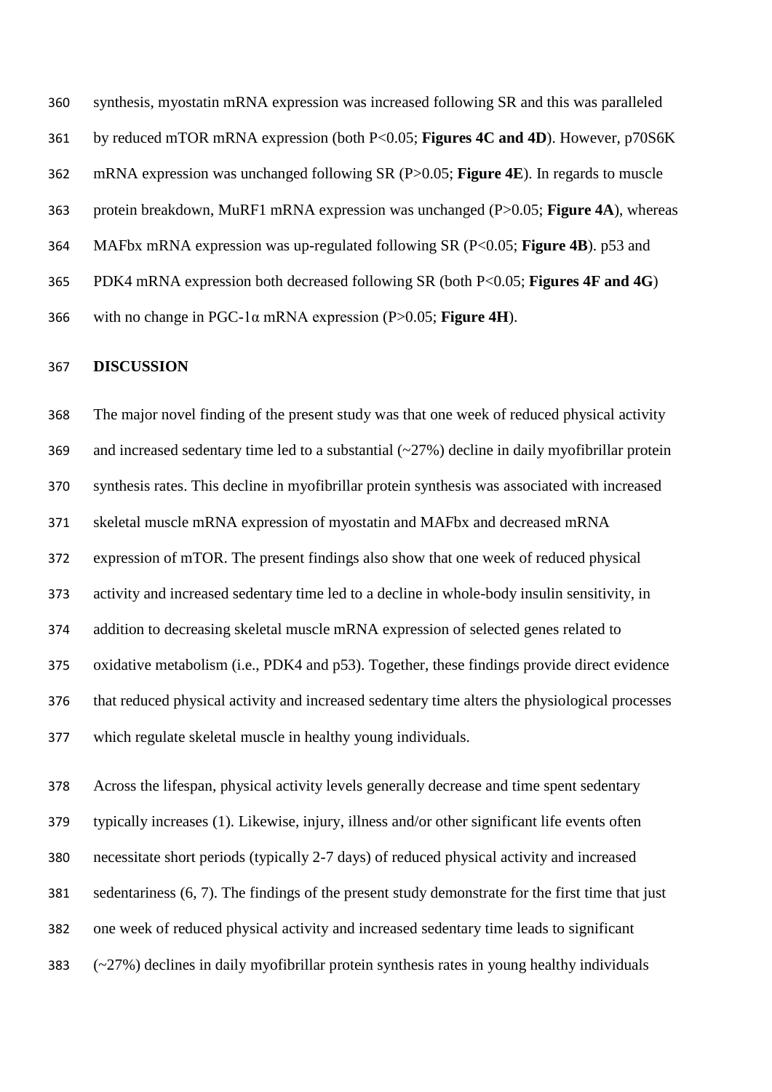synthesis, myostatin mRNA expression was increased following SR and this was paralleled by reduced mTOR mRNA expression (both P<0.05; **Figures 4C and 4D**). However, p70S6K mRNA expression was unchanged following SR (P>0.05; **Figure 4E**). In regards to muscle protein breakdown, MuRF1 mRNA expression was unchanged (P>0.05; **Figure 4A**), whereas MAFbx mRNA expression was up-regulated following SR (P<0.05; **Figure 4B**). p53 and PDK4 mRNA expression both decreased following SR (both P<0.05; **Figures 4F and 4G**) with no change in PGC-1α mRNA expression (P>0.05; **Figure 4H**).

#### **DISCUSSION**

 The major novel finding of the present study was that one week of reduced physical activity 369 and increased sedentary time led to a substantial  $(\sim 27\%)$  decline in daily myofibrillar protein synthesis rates. This decline in myofibrillar protein synthesis was associated with increased skeletal muscle mRNA expression of myostatin and MAFbx and decreased mRNA expression of mTOR. The present findings also show that one week of reduced physical activity and increased sedentary time led to a decline in whole-body insulin sensitivity, in addition to decreasing skeletal muscle mRNA expression of selected genes related to oxidative metabolism (i.e., PDK4 and p53). Together, these findings provide direct evidence that reduced physical activity and increased sedentary time alters the physiological processes which regulate skeletal muscle in healthy young individuals.

 Across the lifespan, physical activity levels generally decrease and time spent sedentary typically increases (1). Likewise, injury, illness and/or other significant life events often necessitate short periods (typically 2-7 days) of reduced physical activity and increased sedentariness (6, 7). The findings of the present study demonstrate for the first time that just one week of reduced physical activity and increased sedentary time leads to significant (~27%) declines in daily myofibrillar protein synthesis rates in young healthy individuals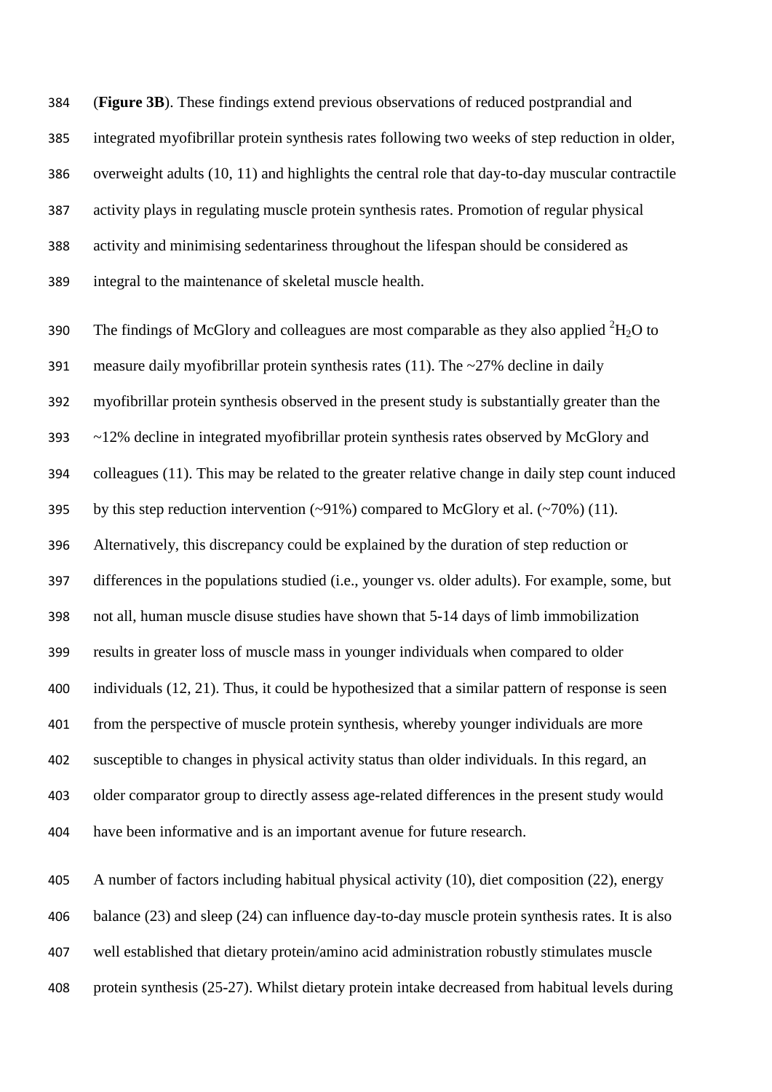(**Figure 3B**). These findings extend previous observations of reduced postprandial and integrated myofibrillar protein synthesis rates following two weeks of step reduction in older, overweight adults (10, 11) and highlights the central role that day-to-day muscular contractile activity plays in regulating muscle protein synthesis rates. Promotion of regular physical activity and minimising sedentariness throughout the lifespan should be considered as integral to the maintenance of skeletal muscle health.

390 The findings of McGlory and colleagues are most comparable as they also applied  ${}^{2}H_{2}O$  to measure daily myofibrillar protein synthesis rates (11). The ~27% decline in daily myofibrillar protein synthesis observed in the present study is substantially greater than the ~12% decline in integrated myofibrillar protein synthesis rates observed by McGlory and colleagues (11). This may be related to the greater relative change in daily step count induced 395 by this step reduction intervention  $(\sim 91\%)$  compared to McGlory et al.  $(\sim 70\%)$  (11). Alternatively, this discrepancy could be explained by the duration of step reduction or differences in the populations studied (i.e., younger vs. older adults). For example, some, but not all, human muscle disuse studies have shown that 5-14 days of limb immobilization results in greater loss of muscle mass in younger individuals when compared to older individuals (12, 21). Thus, it could be hypothesized that a similar pattern of response is seen from the perspective of muscle protein synthesis, whereby younger individuals are more susceptible to changes in physical activity status than older individuals. In this regard, an older comparator group to directly assess age-related differences in the present study would have been informative and is an important avenue for future research.

 A number of factors including habitual physical activity (10), diet composition (22), energy balance (23) and sleep (24) can influence day-to-day muscle protein synthesis rates. It is also well established that dietary protein/amino acid administration robustly stimulates muscle protein synthesis (25-27). Whilst dietary protein intake decreased from habitual levels during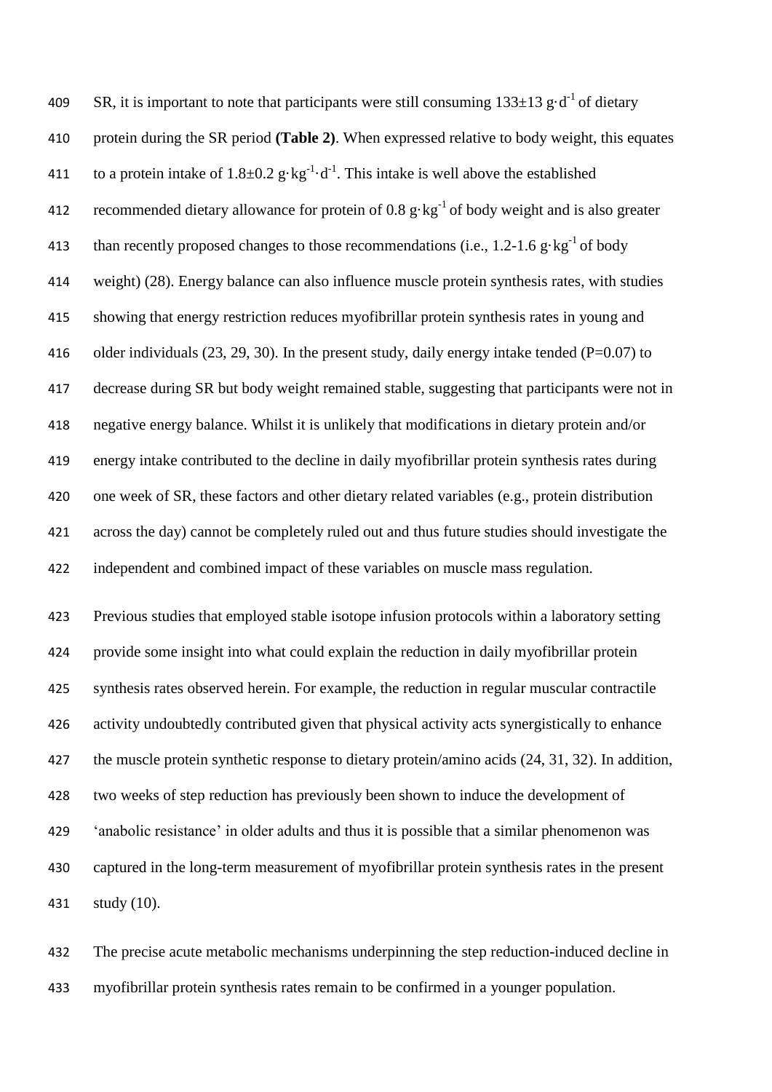409 SR, it is important to note that participants were still consuming  $133\pm 13$  g·d<sup>-1</sup> of dietary protein during the SR period **(Table 2)**. When expressed relative to body weight, this equates 411 to a protein intake of  $1.8 \pm 0.2$  g $\cdot$ kg<sup>-1</sup> $\cdot$ d<sup>-1</sup>. This intake is well above the established 412 recommended dietary allowance for protein of  $0.8 \text{ g} \cdot \text{kg}^{-1}$  of body weight and is also greater 413 than recently proposed changes to those recommendations (i.e.,  $1.2{\text -}1.6 \text{ g}\cdot\text{kg}^{-1}$  of body weight) (28). Energy balance can also influence muscle protein synthesis rates, with studies showing that energy restriction reduces myofibrillar protein synthesis rates in young and 416 older individuals  $(23, 29, 30)$ . In the present study, daily energy intake tended (P=0.07) to decrease during SR but body weight remained stable, suggesting that participants were not in negative energy balance. Whilst it is unlikely that modifications in dietary protein and/or energy intake contributed to the decline in daily myofibrillar protein synthesis rates during one week of SR, these factors and other dietary related variables (e.g., protein distribution across the day) cannot be completely ruled out and thus future studies should investigate the independent and combined impact of these variables on muscle mass regulation. Previous studies that employed stable isotope infusion protocols within a laboratory setting

 provide some insight into what could explain the reduction in daily myofibrillar protein synthesis rates observed herein. For example, the reduction in regular muscular contractile activity undoubtedly contributed given that physical activity acts synergistically to enhance the muscle protein synthetic response to dietary protein/amino acids (24, 31, 32). In addition, two weeks of step reduction has previously been shown to induce the development of 'anabolic resistance' in older adults and thus it is possible that a similar phenomenon was captured in the long-term measurement of myofibrillar protein synthesis rates in the present study (10).

 The precise acute metabolic mechanisms underpinning the step reduction-induced decline in myofibrillar protein synthesis rates remain to be confirmed in a younger population.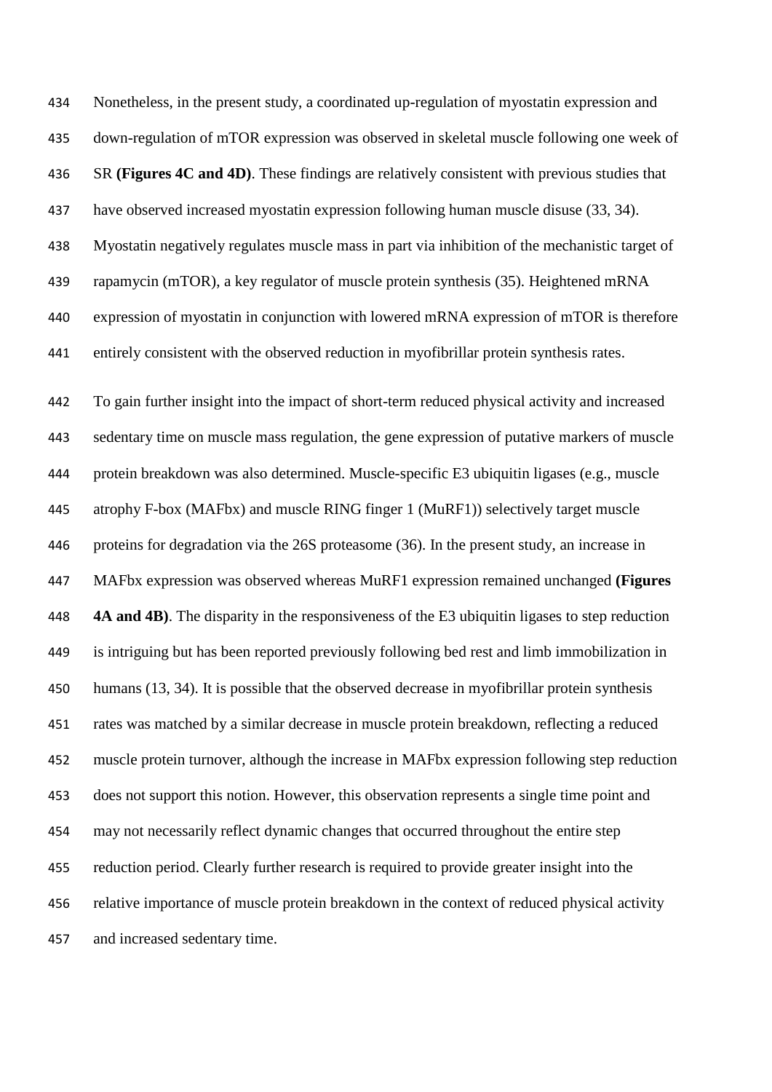Nonetheless, in the present study, a coordinated up-regulation of myostatin expression and down-regulation of mTOR expression was observed in skeletal muscle following one week of SR **(Figures 4C and 4D)**. These findings are relatively consistent with previous studies that have observed increased myostatin expression following human muscle disuse (33, 34). Myostatin negatively regulates muscle mass in part via inhibition of the mechanistic target of rapamycin (mTOR), a key regulator of muscle protein synthesis (35). Heightened mRNA expression of myostatin in conjunction with lowered mRNA expression of mTOR is therefore entirely consistent with the observed reduction in myofibrillar protein synthesis rates.

 To gain further insight into the impact of short-term reduced physical activity and increased sedentary time on muscle mass regulation, the gene expression of putative markers of muscle protein breakdown was also determined. Muscle-specific E3 ubiquitin ligases (e.g., muscle atrophy F-box (MAFbx) and muscle RING finger 1 (MuRF1)) selectively target muscle proteins for degradation via the 26S proteasome (36). In the present study, an increase in MAFbx expression was observed whereas MuRF1 expression remained unchanged **(Figures 4A and 4B)**. The disparity in the responsiveness of the E3 ubiquitin ligases to step reduction is intriguing but has been reported previously following bed rest and limb immobilization in humans (13, 34). It is possible that the observed decrease in myofibrillar protein synthesis rates was matched by a similar decrease in muscle protein breakdown, reflecting a reduced muscle protein turnover, although the increase in MAFbx expression following step reduction does not support this notion. However, this observation represents a single time point and may not necessarily reflect dynamic changes that occurred throughout the entire step reduction period. Clearly further research is required to provide greater insight into the relative importance of muscle protein breakdown in the context of reduced physical activity and increased sedentary time.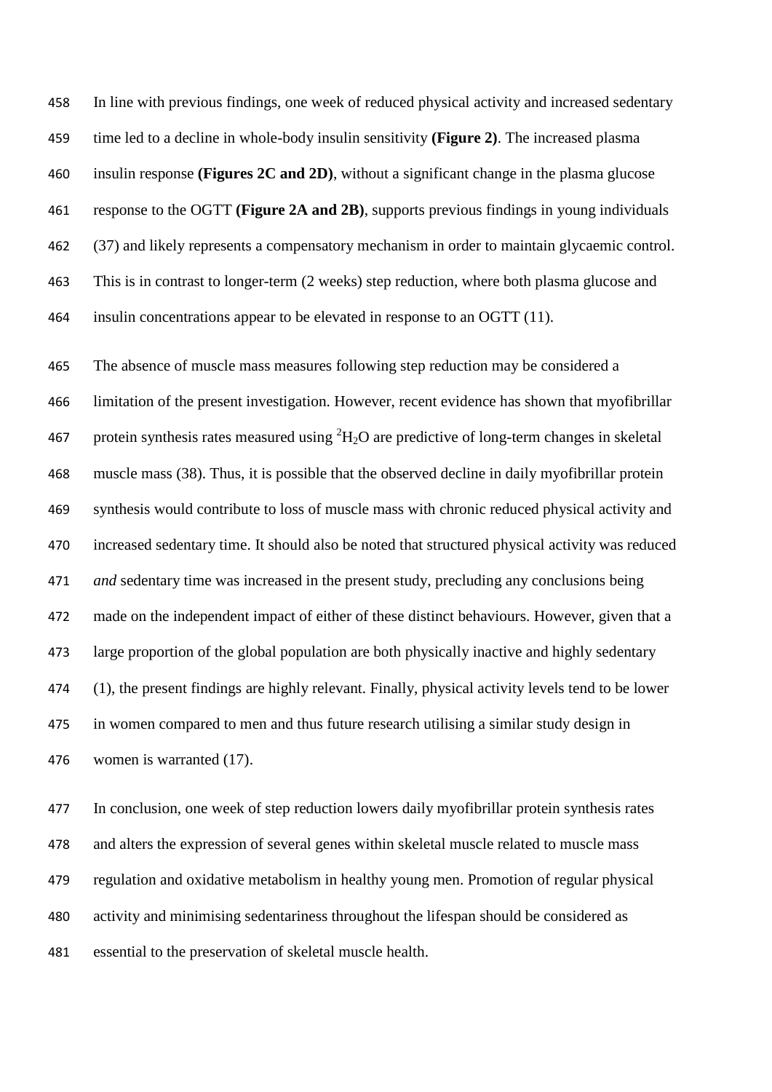In line with previous findings, one week of reduced physical activity and increased sedentary time led to a decline in whole-body insulin sensitivity **(Figure 2)**. The increased plasma insulin response **(Figures 2C and 2D)**, without a significant change in the plasma glucose response to the OGTT **(Figure 2A and 2B)**, supports previous findings in young individuals (37) and likely represents a compensatory mechanism in order to maintain glycaemic control. This is in contrast to longer-term (2 weeks) step reduction, where both plasma glucose and insulin concentrations appear to be elevated in response to an OGTT (11).

 The absence of muscle mass measures following step reduction may be considered a limitation of the present investigation. However, recent evidence has shown that myofibrillar 467 protein synthesis rates measured using  ${}^{2}H_{2}O$  are predictive of long-term changes in skeletal muscle mass (38). Thus, it is possible that the observed decline in daily myofibrillar protein synthesis would contribute to loss of muscle mass with chronic reduced physical activity and increased sedentary time. It should also be noted that structured physical activity was reduced *and* sedentary time was increased in the present study, precluding any conclusions being made on the independent impact of either of these distinct behaviours. However, given that a large proportion of the global population are both physically inactive and highly sedentary (1), the present findings are highly relevant. Finally, physical activity levels tend to be lower in women compared to men and thus future research utilising a similar study design in women is warranted (17).

 In conclusion, one week of step reduction lowers daily myofibrillar protein synthesis rates and alters the expression of several genes within skeletal muscle related to muscle mass regulation and oxidative metabolism in healthy young men. Promotion of regular physical activity and minimising sedentariness throughout the lifespan should be considered as essential to the preservation of skeletal muscle health.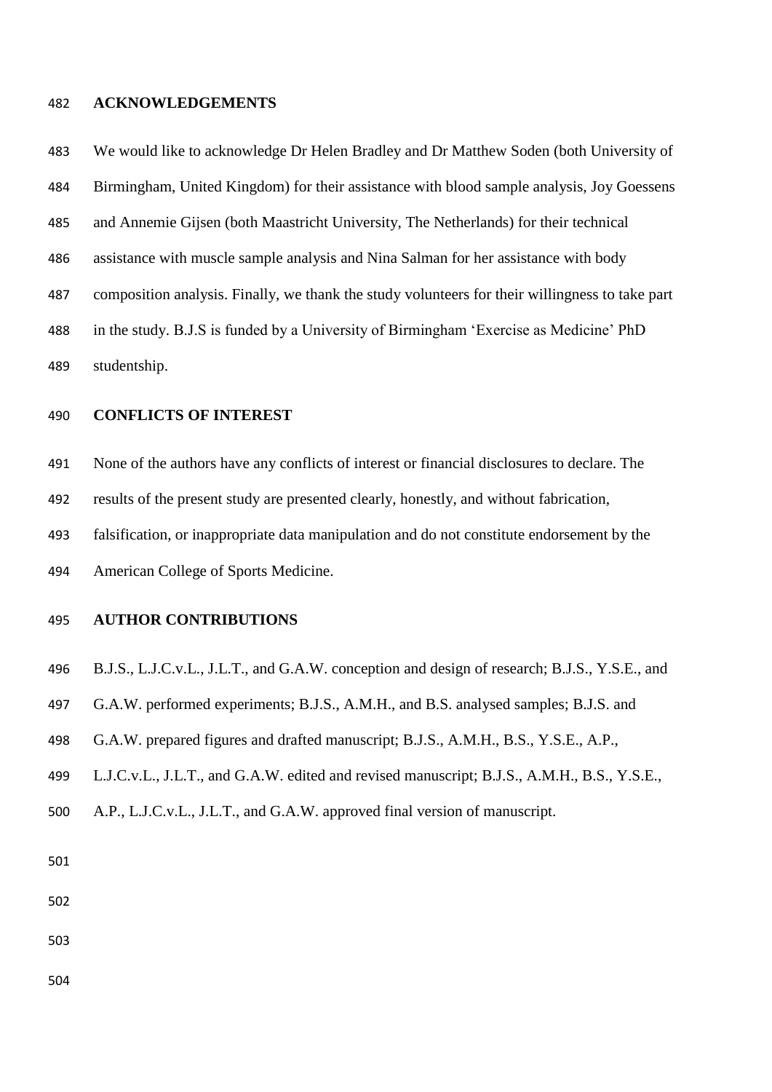#### **ACKNOWLEDGEMENTS**

 We would like to acknowledge Dr Helen Bradley and Dr Matthew Soden (both University of Birmingham, United Kingdom) for their assistance with blood sample analysis, Joy Goessens and Annemie Gijsen (both Maastricht University, The Netherlands) for their technical assistance with muscle sample analysis and Nina Salman for her assistance with body composition analysis. Finally, we thank the study volunteers for their willingness to take part in the study. B.J.S is funded by a University of Birmingham 'Exercise as Medicine' PhD studentship.

## **CONFLICTS OF INTEREST**

None of the authors have any conflicts of interest or financial disclosures to declare. The

results of the present study are presented clearly, honestly, and without fabrication,

falsification, or inappropriate data manipulation and do not constitute endorsement by the

American College of Sports Medicine.

# **AUTHOR CONTRIBUTIONS**

- B.J.S., L.J.C.v.L., J.L.T., and G.A.W. conception and design of research; B.J.S., Y.S.E., and
- G.A.W. performed experiments; B.J.S., A.M.H., and B.S. analysed samples; B.J.S. and
- G.A.W. prepared figures and drafted manuscript; B.J.S., A.M.H., B.S., Y.S.E., A.P.,
- L.J.C.v.L., J.L.T., and G.A.W. edited and revised manuscript; B.J.S., A.M.H., B.S., Y.S.E.,
- A.P., L.J.C.v.L., J.L.T., and G.A.W. approved final version of manuscript.

- 
- 
-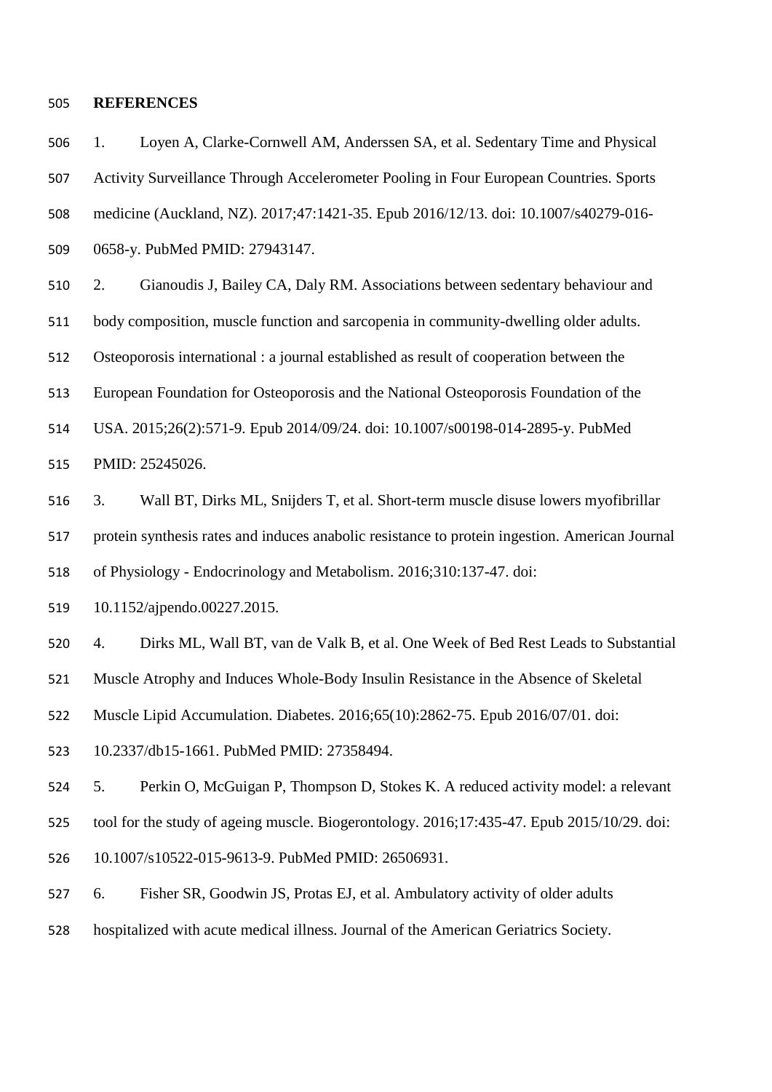#### **REFERENCES**

 1. Loyen A, Clarke-Cornwell AM, Anderssen SA, et al. Sedentary Time and Physical Activity Surveillance Through Accelerometer Pooling in Four European Countries. Sports medicine (Auckland, NZ). 2017;47:1421-35. Epub 2016/12/13. doi: 10.1007/s40279-016- 0658-y. PubMed PMID: 27943147.

 2. Gianoudis J, Bailey CA, Daly RM. Associations between sedentary behaviour and body composition, muscle function and sarcopenia in community-dwelling older adults. Osteoporosis international : a journal established as result of cooperation between the European Foundation for Osteoporosis and the National Osteoporosis Foundation of the USA. 2015;26(2):571-9. Epub 2014/09/24. doi: 10.1007/s00198-014-2895-y. PubMed PMID: 25245026.

 3. Wall BT, Dirks ML, Snijders T, et al. Short-term muscle disuse lowers myofibrillar protein synthesis rates and induces anabolic resistance to protein ingestion. American Journal of Physiology - Endocrinology and Metabolism. 2016;310:137-47. doi:

10.1152/ajpendo.00227.2015.

4. Dirks ML, Wall BT, van de Valk B, et al. One Week of Bed Rest Leads to Substantial

Muscle Atrophy and Induces Whole-Body Insulin Resistance in the Absence of Skeletal

Muscle Lipid Accumulation. Diabetes. 2016;65(10):2862-75. Epub 2016/07/01. doi:

10.2337/db15-1661. PubMed PMID: 27358494.

 5. Perkin O, McGuigan P, Thompson D, Stokes K. A reduced activity model: a relevant tool for the study of ageing muscle. Biogerontology. 2016;17:435-47. Epub 2015/10/29. doi:

10.1007/s10522-015-9613-9. PubMed PMID: 26506931.

 6. Fisher SR, Goodwin JS, Protas EJ, et al. Ambulatory activity of older adults hospitalized with acute medical illness. Journal of the American Geriatrics Society.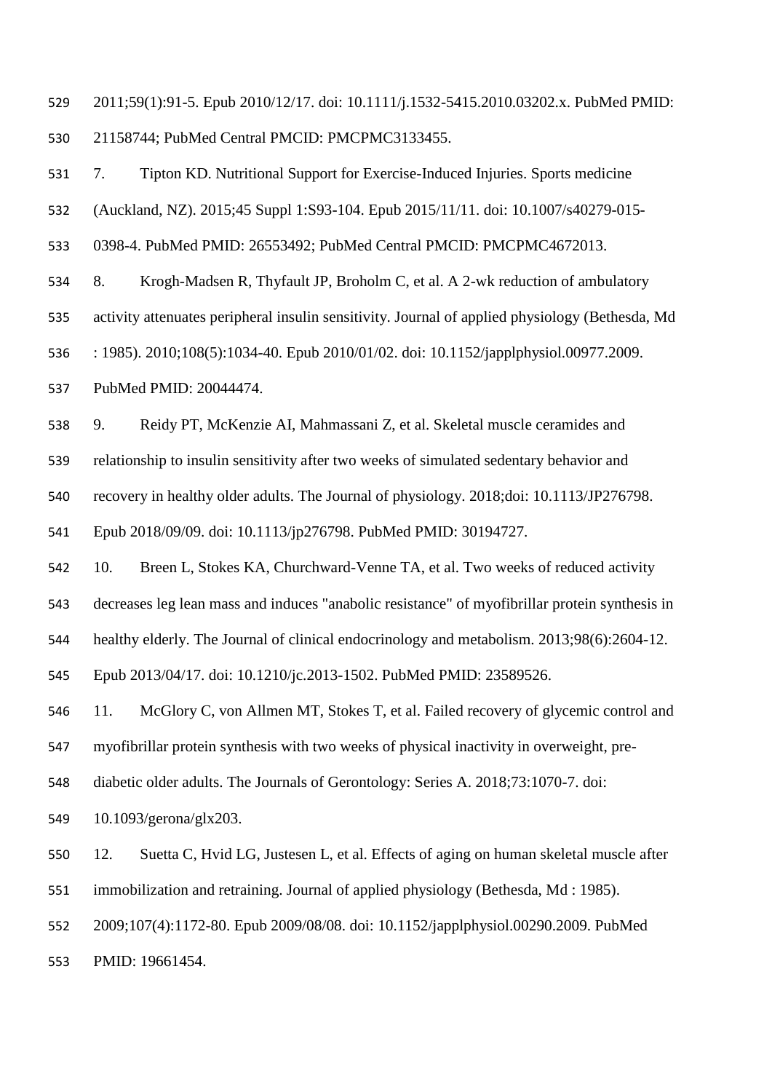2011;59(1):91-5. Epub 2010/12/17. doi: 10.1111/j.1532-5415.2010.03202.x. PubMed PMID: 21158744; PubMed Central PMCID: PMCPMC3133455.

 7. Tipton KD. Nutritional Support for Exercise-Induced Injuries. Sports medicine (Auckland, NZ). 2015;45 Suppl 1:S93-104. Epub 2015/11/11. doi: 10.1007/s40279-015- 0398-4. PubMed PMID: 26553492; PubMed Central PMCID: PMCPMC4672013. 8. Krogh-Madsen R, Thyfault JP, Broholm C, et al. A 2-wk reduction of ambulatory activity attenuates peripheral insulin sensitivity. Journal of applied physiology (Bethesda, Md : 1985). 2010;108(5):1034-40. Epub 2010/01/02. doi: 10.1152/japplphysiol.00977.2009. PubMed PMID: 20044474. 9. Reidy PT, McKenzie AI, Mahmassani Z, et al. Skeletal muscle ceramides and relationship to insulin sensitivity after two weeks of simulated sedentary behavior and recovery in healthy older adults. The Journal of physiology. 2018;doi: 10.1113/JP276798. Epub 2018/09/09. doi: 10.1113/jp276798. PubMed PMID: 30194727. 10. Breen L, Stokes KA, Churchward-Venne TA, et al. Two weeks of reduced activity decreases leg lean mass and induces "anabolic resistance" of myofibrillar protein synthesis in healthy elderly. The Journal of clinical endocrinology and metabolism. 2013;98(6):2604-12.

Epub 2013/04/17. doi: 10.1210/jc.2013-1502. PubMed PMID: 23589526.

11. McGlory C, von Allmen MT, Stokes T, et al. Failed recovery of glycemic control and

myofibrillar protein synthesis with two weeks of physical inactivity in overweight, pre-

diabetic older adults. The Journals of Gerontology: Series A. 2018;73:1070-7. doi:

10.1093/gerona/glx203.

 12. Suetta C, Hvid LG, Justesen L, et al. Effects of aging on human skeletal muscle after immobilization and retraining. Journal of applied physiology (Bethesda, Md : 1985).

2009;107(4):1172-80. Epub 2009/08/08. doi: 10.1152/japplphysiol.00290.2009. PubMed

PMID: 19661454.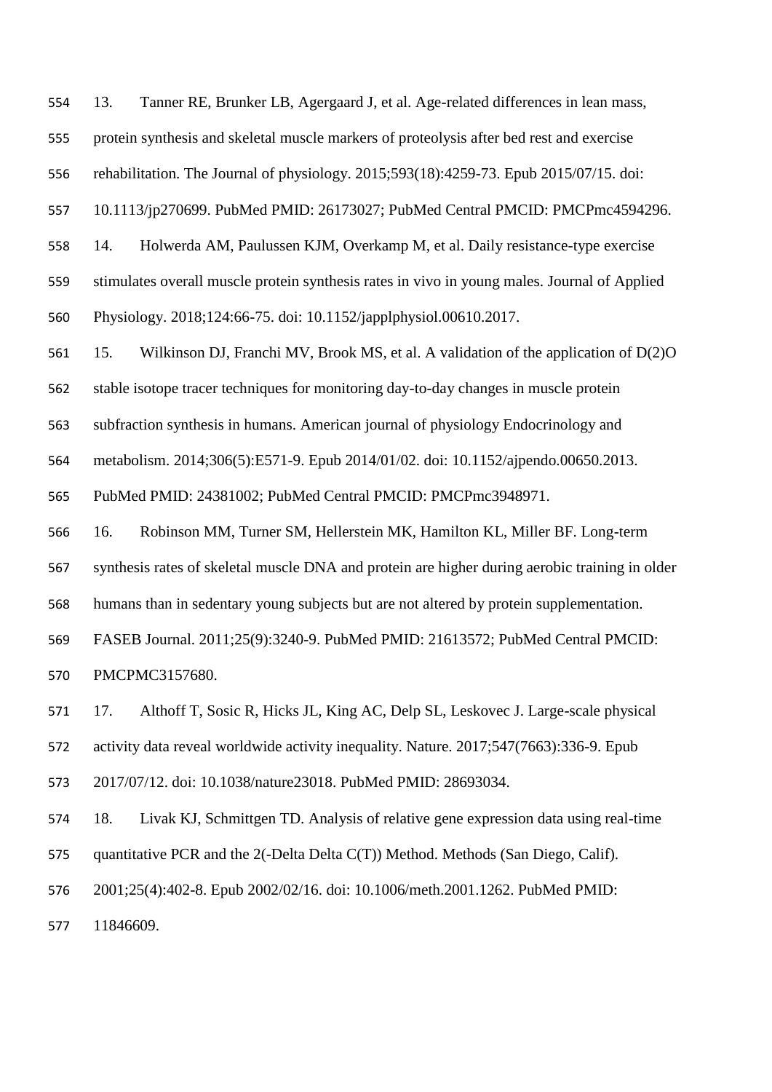13. Tanner RE, Brunker LB, Agergaard J, et al. Age-related differences in lean mass,

protein synthesis and skeletal muscle markers of proteolysis after bed rest and exercise

rehabilitation. The Journal of physiology. 2015;593(18):4259-73. Epub 2015/07/15. doi:

10.1113/jp270699. PubMed PMID: 26173027; PubMed Central PMCID: PMCPmc4594296.

14. Holwerda AM, Paulussen KJM, Overkamp M, et al. Daily resistance-type exercise

stimulates overall muscle protein synthesis rates in vivo in young males. Journal of Applied

Physiology. 2018;124:66-75. doi: 10.1152/japplphysiol.00610.2017.

15. Wilkinson DJ, Franchi MV, Brook MS, et al. A validation of the application of D(2)O

stable isotope tracer techniques for monitoring day-to-day changes in muscle protein

subfraction synthesis in humans. American journal of physiology Endocrinology and

metabolism. 2014;306(5):E571-9. Epub 2014/01/02. doi: 10.1152/ajpendo.00650.2013.

PubMed PMID: 24381002; PubMed Central PMCID: PMCPmc3948971.

16. Robinson MM, Turner SM, Hellerstein MK, Hamilton KL, Miller BF. Long-term

synthesis rates of skeletal muscle DNA and protein are higher during aerobic training in older

humans than in sedentary young subjects but are not altered by protein supplementation.

FASEB Journal. 2011;25(9):3240-9. PubMed PMID: 21613572; PubMed Central PMCID:

PMCPMC3157680.

17. Althoff T, Sosic R, Hicks JL, King AC, Delp SL, Leskovec J. Large-scale physical

activity data reveal worldwide activity inequality. Nature. 2017;547(7663):336-9. Epub

2017/07/12. doi: 10.1038/nature23018. PubMed PMID: 28693034.

18. Livak KJ, Schmittgen TD. Analysis of relative gene expression data using real-time

quantitative PCR and the 2(-Delta Delta C(T)) Method. Methods (San Diego, Calif).

2001;25(4):402-8. Epub 2002/02/16. doi: 10.1006/meth.2001.1262. PubMed PMID:

11846609.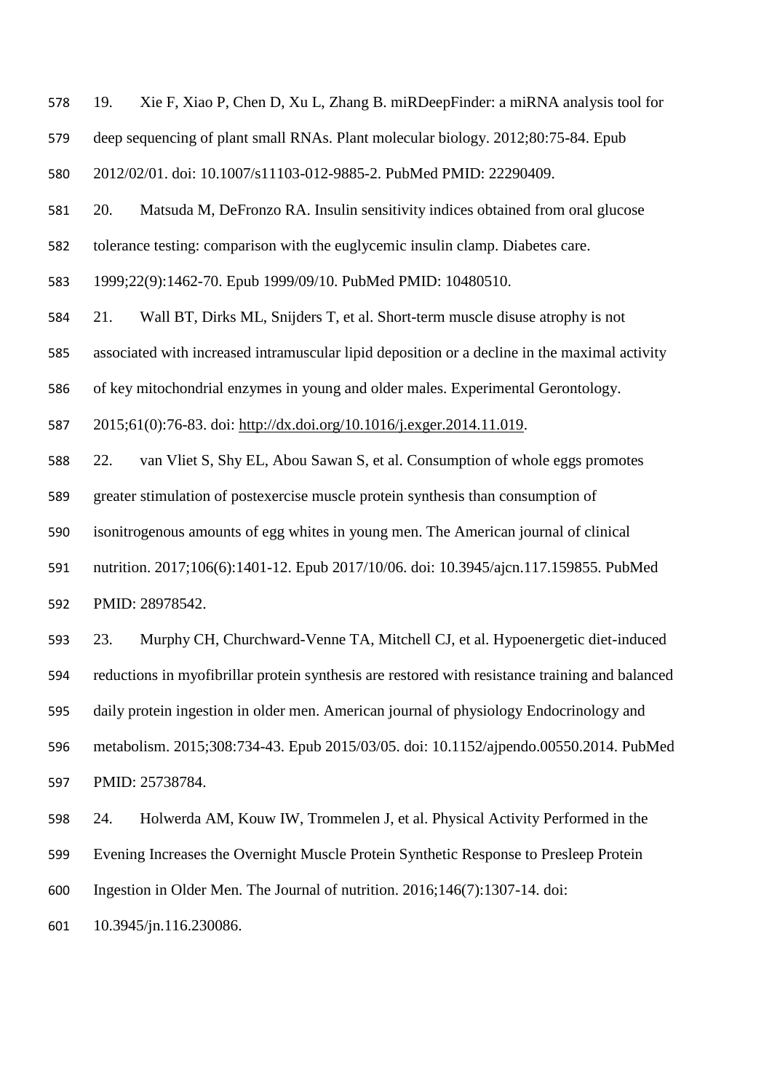19. Xie F, Xiao P, Chen D, Xu L, Zhang B. miRDeepFinder: a miRNA analysis tool for

deep sequencing of plant small RNAs. Plant molecular biology. 2012;80:75-84. Epub

2012/02/01. doi: 10.1007/s11103-012-9885-2. PubMed PMID: 22290409.

20. Matsuda M, DeFronzo RA. Insulin sensitivity indices obtained from oral glucose

tolerance testing: comparison with the euglycemic insulin clamp. Diabetes care.

1999;22(9):1462-70. Epub 1999/09/10. PubMed PMID: 10480510.

21. Wall BT, Dirks ML, Snijders T, et al. Short-term muscle disuse atrophy is not

associated with increased intramuscular lipid deposition or a decline in the maximal activity

of key mitochondrial enzymes in young and older males. Experimental Gerontology.

2015;61(0):76-83. doi: [http://dx.doi.org/10.1016/j.exger.2014.11.019.](http://dx.doi.org/10.1016/j.exger.2014.11.019)

22. van Vliet S, Shy EL, Abou Sawan S, et al. Consumption of whole eggs promotes

greater stimulation of postexercise muscle protein synthesis than consumption of

isonitrogenous amounts of egg whites in young men. The American journal of clinical

 nutrition. 2017;106(6):1401-12. Epub 2017/10/06. doi: 10.3945/ajcn.117.159855. PubMed PMID: 28978542.

 23. Murphy CH, Churchward-Venne TA, Mitchell CJ, et al. Hypoenergetic diet-induced reductions in myofibrillar protein synthesis are restored with resistance training and balanced daily protein ingestion in older men. American journal of physiology Endocrinology and metabolism. 2015;308:734-43. Epub 2015/03/05. doi: 10.1152/ajpendo.00550.2014. PubMed PMID: 25738784.

 24. Holwerda AM, Kouw IW, Trommelen J, et al. Physical Activity Performed in the Evening Increases the Overnight Muscle Protein Synthetic Response to Presleep Protein Ingestion in Older Men. The Journal of nutrition. 2016;146(7):1307-14. doi:

10.3945/jn.116.230086.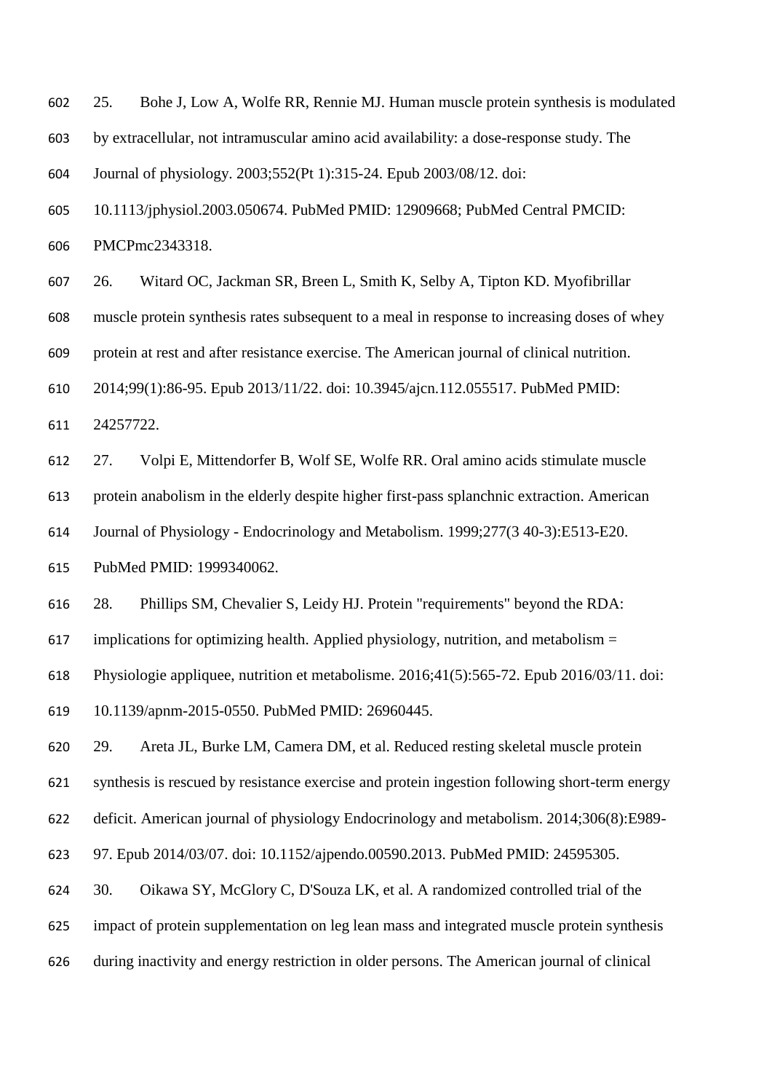25. Bohe J, Low A, Wolfe RR, Rennie MJ. Human muscle protein synthesis is modulated by extracellular, not intramuscular amino acid availability: a dose-response study. The Journal of physiology. 2003;552(Pt 1):315-24. Epub 2003/08/12. doi:

 10.1113/jphysiol.2003.050674. PubMed PMID: 12909668; PubMed Central PMCID: PMCPmc2343318.

 26. Witard OC, Jackman SR, Breen L, Smith K, Selby A, Tipton KD. Myofibrillar muscle protein synthesis rates subsequent to a meal in response to increasing doses of whey protein at rest and after resistance exercise. The American journal of clinical nutrition. 2014;99(1):86-95. Epub 2013/11/22. doi: 10.3945/ajcn.112.055517. PubMed PMID: 24257722.

 27. Volpi E, Mittendorfer B, Wolf SE, Wolfe RR. Oral amino acids stimulate muscle protein anabolism in the elderly despite higher first-pass splanchnic extraction. American Journal of Physiology - Endocrinology and Metabolism. 1999;277(3 40-3):E513-E20. PubMed PMID: 1999340062.

28. Phillips SM, Chevalier S, Leidy HJ. Protein "requirements" beyond the RDA:

617 implications for optimizing health. Applied physiology, nutrition, and metabolism  $=$ 

Physiologie appliquee, nutrition et metabolisme. 2016;41(5):565-72. Epub 2016/03/11. doi:

10.1139/apnm-2015-0550. PubMed PMID: 26960445.

29. Areta JL, Burke LM, Camera DM, et al. Reduced resting skeletal muscle protein

synthesis is rescued by resistance exercise and protein ingestion following short-term energy

deficit. American journal of physiology Endocrinology and metabolism. 2014;306(8):E989-

97. Epub 2014/03/07. doi: 10.1152/ajpendo.00590.2013. PubMed PMID: 24595305.

30. Oikawa SY, McGlory C, D'Souza LK, et al. A randomized controlled trial of the

impact of protein supplementation on leg lean mass and integrated muscle protein synthesis

during inactivity and energy restriction in older persons. The American journal of clinical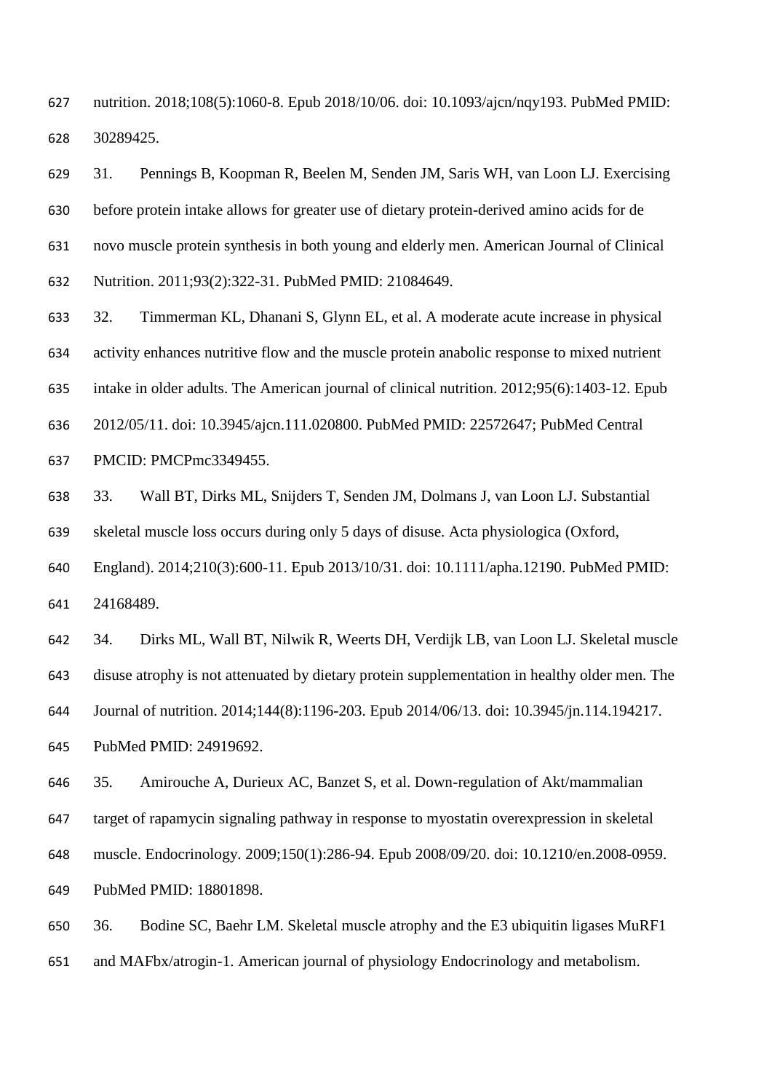nutrition. 2018;108(5):1060-8. Epub 2018/10/06. doi: 10.1093/ajcn/nqy193. PubMed PMID: 30289425.

 31. Pennings B, Koopman R, Beelen M, Senden JM, Saris WH, van Loon LJ. Exercising before protein intake allows for greater use of dietary protein-derived amino acids for de novo muscle protein synthesis in both young and elderly men. American Journal of Clinical Nutrition. 2011;93(2):322-31. PubMed PMID: 21084649.

 32. Timmerman KL, Dhanani S, Glynn EL, et al. A moderate acute increase in physical activity enhances nutritive flow and the muscle protein anabolic response to mixed nutrient intake in older adults. The American journal of clinical nutrition. 2012;95(6):1403-12. Epub 2012/05/11. doi: 10.3945/ajcn.111.020800. PubMed PMID: 22572647; PubMed Central PMCID: PMCPmc3349455.

33. Wall BT, Dirks ML, Snijders T, Senden JM, Dolmans J, van Loon LJ. Substantial

skeletal muscle loss occurs during only 5 days of disuse. Acta physiologica (Oxford,

 England). 2014;210(3):600-11. Epub 2013/10/31. doi: 10.1111/apha.12190. PubMed PMID: 24168489.

 34. Dirks ML, Wall BT, Nilwik R, Weerts DH, Verdijk LB, van Loon LJ. Skeletal muscle disuse atrophy is not attenuated by dietary protein supplementation in healthy older men. The Journal of nutrition. 2014;144(8):1196-203. Epub 2014/06/13. doi: 10.3945/jn.114.194217.

PubMed PMID: 24919692.

35. Amirouche A, Durieux AC, Banzet S, et al. Down-regulation of Akt/mammalian

target of rapamycin signaling pathway in response to myostatin overexpression in skeletal

muscle. Endocrinology. 2009;150(1):286-94. Epub 2008/09/20. doi: 10.1210/en.2008-0959.

PubMed PMID: 18801898.

36. Bodine SC, Baehr LM. Skeletal muscle atrophy and the E3 ubiquitin ligases MuRF1

and MAFbx/atrogin-1. American journal of physiology Endocrinology and metabolism.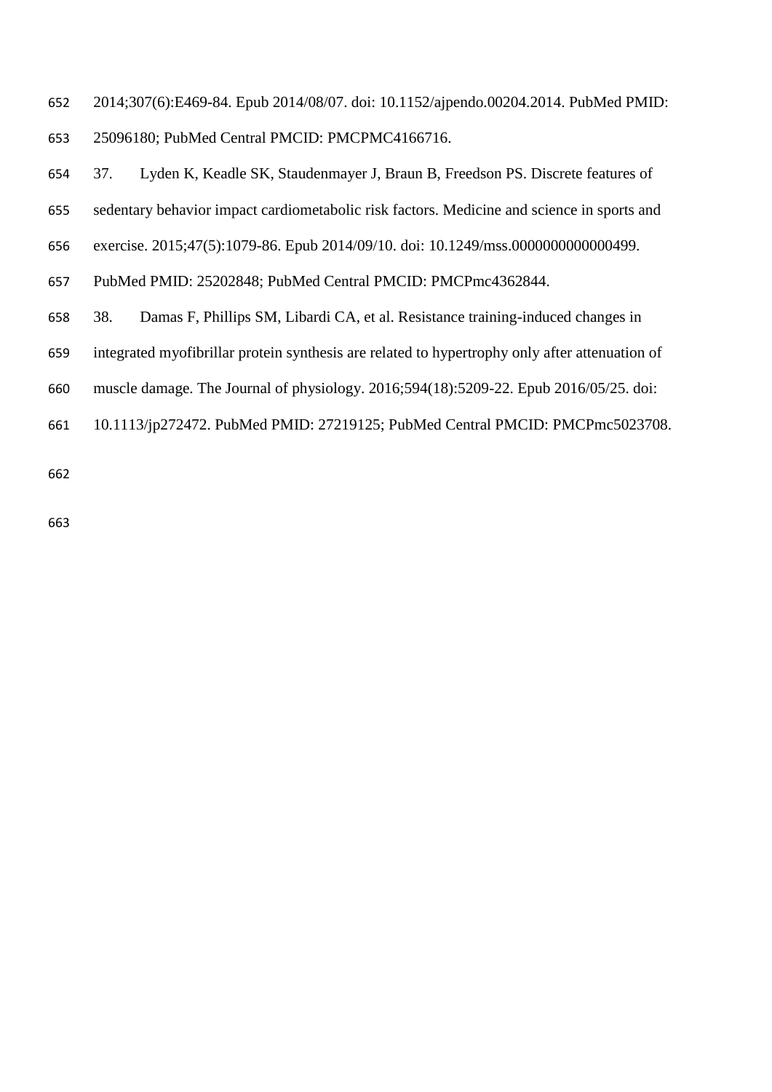- 2014;307(6):E469-84. Epub 2014/08/07. doi: 10.1152/ajpendo.00204.2014. PubMed PMID: 25096180; PubMed Central PMCID: PMCPMC4166716.
- 37. Lyden K, Keadle SK, Staudenmayer J, Braun B, Freedson PS. Discrete features of
- sedentary behavior impact cardiometabolic risk factors. Medicine and science in sports and
- exercise. 2015;47(5):1079-86. Epub 2014/09/10. doi: 10.1249/mss.0000000000000499.
- PubMed PMID: 25202848; PubMed Central PMCID: PMCPmc4362844.
- 38. Damas F, Phillips SM, Libardi CA, et al. Resistance training-induced changes in
- integrated myofibrillar protein synthesis are related to hypertrophy only after attenuation of
- muscle damage. The Journal of physiology. 2016;594(18):5209-22. Epub 2016/05/25. doi:
- 10.1113/jp272472. PubMed PMID: 27219125; PubMed Central PMCID: PMCPmc5023708.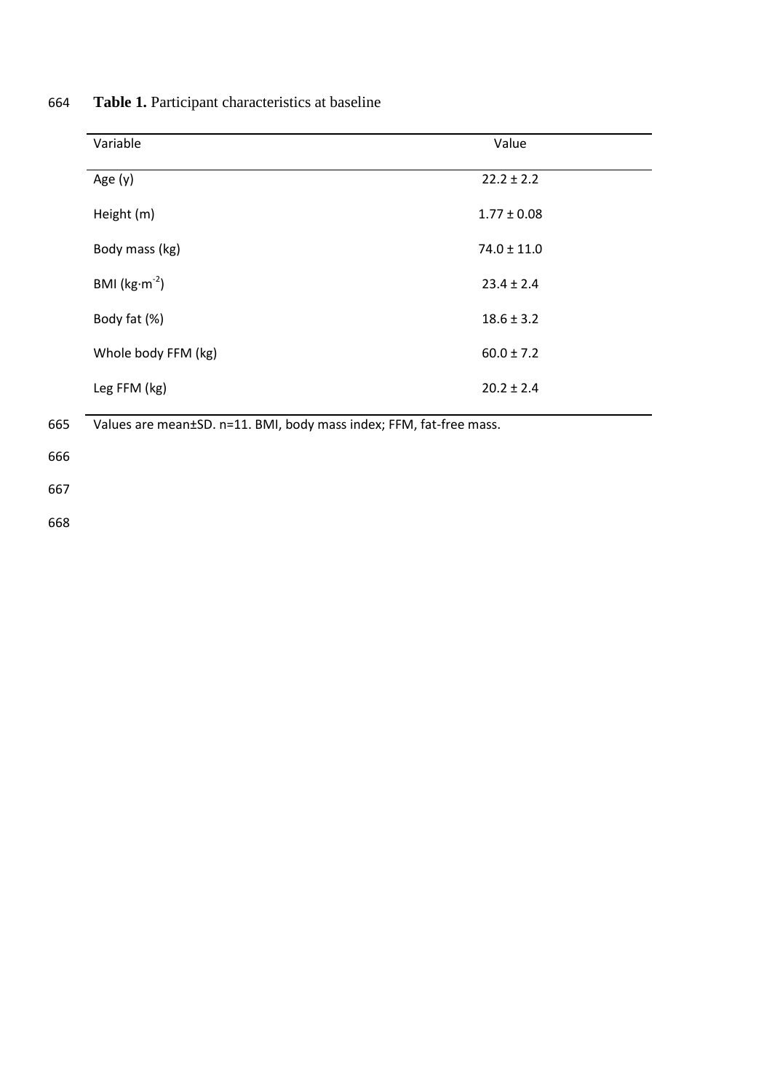| 664 |  |  | <b>Table 1.</b> Participant characteristics at baseline |  |
|-----|--|--|---------------------------------------------------------|--|
|-----|--|--|---------------------------------------------------------|--|

| Variable                              | Value           |
|---------------------------------------|-----------------|
| Age $(y)$                             | $22.2 \pm 2.2$  |
| Height (m)                            | $1.77 \pm 0.08$ |
| Body mass (kg)                        | $74.0 \pm 11.0$ |
| BMI ( $\text{kg}\cdot\text{m}^{-2}$ ) | $23.4 \pm 2.4$  |
| Body fat (%)                          | $18.6 \pm 3.2$  |
| Whole body FFM (kg)                   | $60.0 \pm 7.2$  |
| Leg FFM (kg)                          | $20.2 \pm 2.4$  |

665 Values are mean±SD. n=11. BMI, body mass index; FFM, fat-free mass.

666

667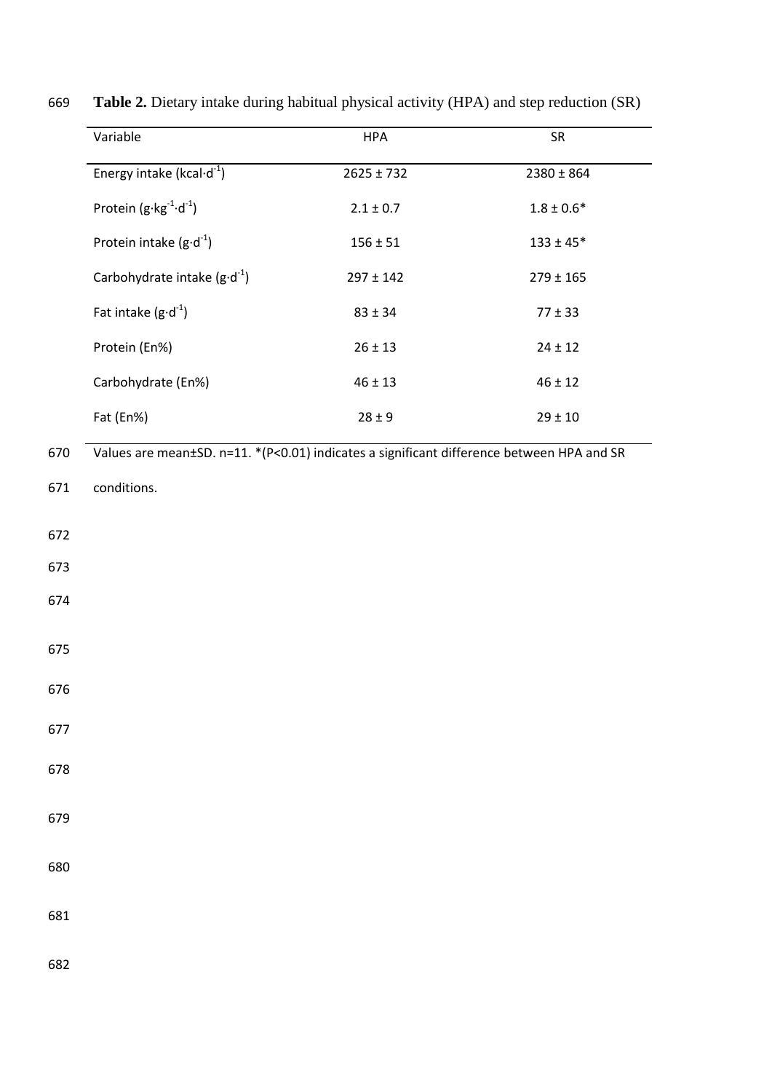| Variable                                      | <b>HPA</b>                                                                                | SR             |  |
|-----------------------------------------------|-------------------------------------------------------------------------------------------|----------------|--|
| Energy intake (kcal $\cdot$ d <sup>-1</sup> ) | $2625 \pm 732$                                                                            | $2380 \pm 864$ |  |
| Protein $(g \cdot kg^{-1} \cdot d^{-1})$      | $2.1\pm0.7$                                                                               | $1.8\pm0.6^*$  |  |
| Protein intake $(g \cdot d^{-1})$             | $156 \pm 51$                                                                              | $133 \pm 45*$  |  |
| Carbohydrate intake $(g \cdot d^{-1})$        | $297 \pm 142$                                                                             | $279 \pm 165$  |  |
| Fat intake $(g \cdot d^{-1})$                 | $83 \pm 34$                                                                               | $77 \pm 33$    |  |
| Protein (En%)                                 | $26 \pm 13$                                                                               | $24 \pm 12$    |  |
| Carbohydrate (En%)                            | $46 \pm 13$                                                                               | $46 \pm 12$    |  |
| Fat (En%)                                     | $28 \pm 9$                                                                                | $29 \pm 10$    |  |
|                                               | Values are mean±SD. n=11. *(P<0.01) indicates a significant difference between HPA and SR |                |  |
| conditions.                                   |                                                                                           |                |  |
|                                               |                                                                                           |                |  |
|                                               |                                                                                           |                |  |
|                                               |                                                                                           |                |  |
|                                               |                                                                                           |                |  |
|                                               |                                                                                           |                |  |
|                                               |                                                                                           |                |  |
|                                               |                                                                                           |                |  |
|                                               |                                                                                           |                |  |
|                                               |                                                                                           |                |  |
|                                               |                                                                                           |                |  |
|                                               |                                                                                           |                |  |
|                                               |                                                                                           |                |  |
|                                               |                                                                                           |                |  |
|                                               |                                                                                           |                |  |
|                                               |                                                                                           |                |  |
|                                               |                                                                                           |                |  |

669 **Table 2.** Dietary intake during habitual physical activity (HPA) and step reduction (SR)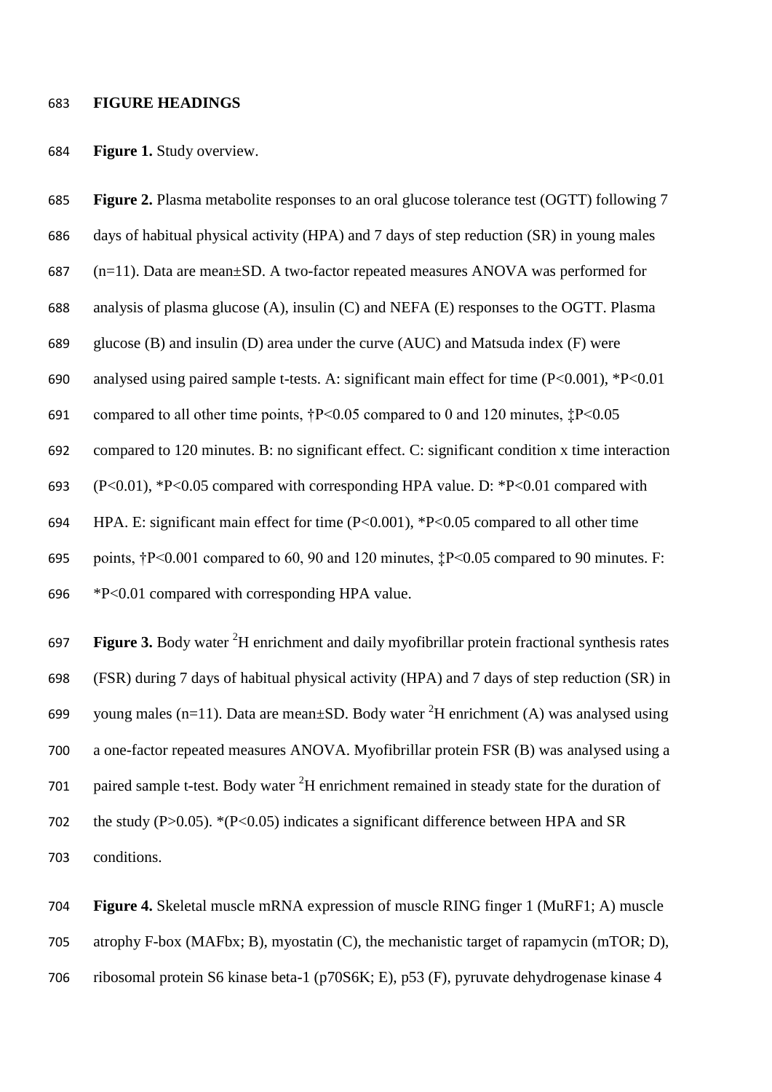#### **FIGURE HEADINGS**

#### **Figure 1.** Study overview.

 **Figure 2.** Plasma metabolite responses to an oral glucose tolerance test (OGTT) following 7 days of habitual physical activity (HPA) and 7 days of step reduction (SR) in young males (n=11). Data are mean±SD. A two-factor repeated measures ANOVA was performed for analysis of plasma glucose (A), insulin (C) and NEFA (E) responses to the OGTT. Plasma glucose (B) and insulin (D) area under the curve (AUC) and Matsuda index (F) were analysed using paired sample t-tests. A: significant main effect for time (P<0.001), \*P<0.01 compared to all other time points, †P<0.05 compared to 0 and 120 minutes, ‡P<0.05 compared to 120 minutes. B: no significant effect. C: significant condition x time interaction (P<0.01), \*P<0.05 compared with corresponding HPA value. D: \*P<0.01 compared with HPA. E: significant main effect for time (P<0.001), \*P<0.05 compared to all other time points, †P<0.001 compared to 60, 90 and 120 minutes, ‡P<0.05 compared to 90 minutes. F: \*P<0.01 compared with corresponding HPA value. 697 **Figure 3.** Body water <sup>2</sup>H enrichment and daily myofibrillar protein fractional synthesis rates (FSR) during 7 days of habitual physical activity (HPA) and 7 days of step reduction (SR) in 699 young males (n=11). Data are mean $\pm$ SD. Body water <sup>2</sup>H enrichment (A) was analysed using a one-factor repeated measures ANOVA. Myofibrillar protein FSR (B) was analysed using a 701 paired sample t-test. Body water <sup>2</sup>H enrichment remained in steady state for the duration of the study (P>0.05). \*(P<0.05) indicates a significant difference between HPA and SR

conditions.

 **Figure 4.** Skeletal muscle mRNA expression of muscle RING finger 1 (MuRF1; A) muscle atrophy F-box (MAFbx; B), myostatin (C), the mechanistic target of rapamycin (mTOR; D), ribosomal protein S6 kinase beta-1 (p70S6K; E), p53 (F), pyruvate dehydrogenase kinase 4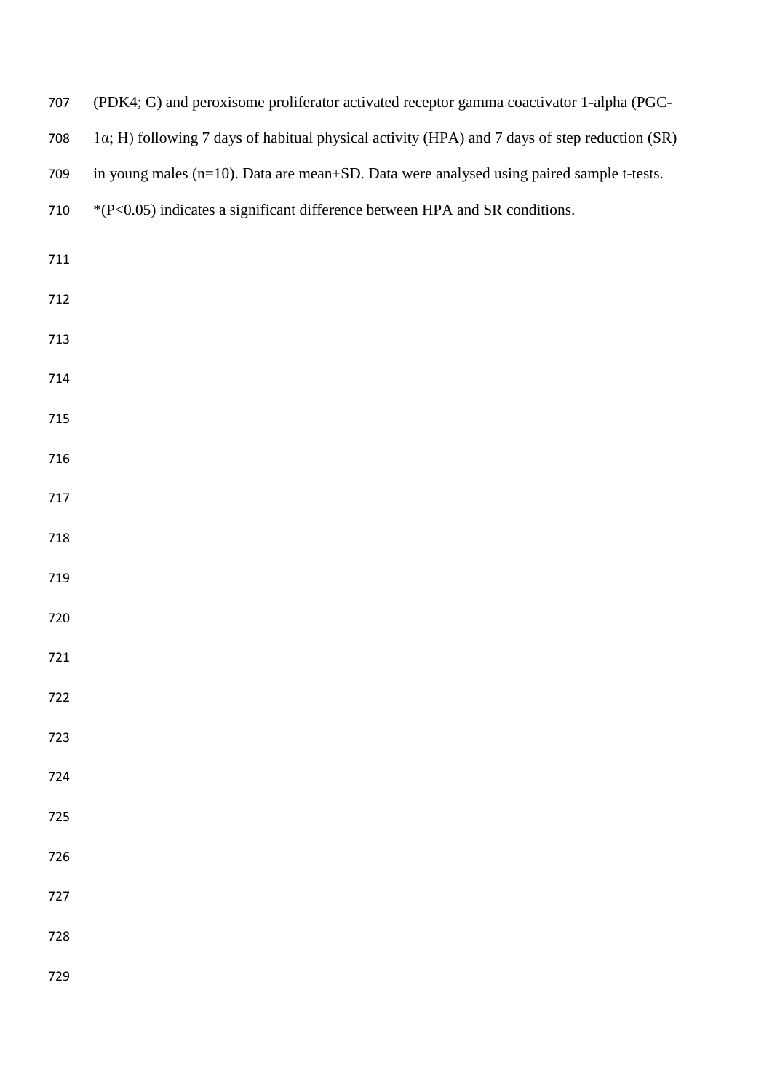| 707 | (PDK4; G) and peroxisome proliferator activated receptor gamma coactivator 1-alpha (PGC-      |
|-----|-----------------------------------------------------------------------------------------------|
| 708 | 1α; H) following 7 days of habitual physical activity (HPA) and 7 days of step reduction (SR) |
| 709 | in young males (n=10). Data are mean±SD. Data were analysed using paired sample t-tests.      |
| 710 | *(P<0.05) indicates a significant difference between HPA and SR conditions.                   |
| 711 |                                                                                               |
| 712 |                                                                                               |
| 713 |                                                                                               |
| 714 |                                                                                               |
|     |                                                                                               |
| 715 |                                                                                               |
| 716 |                                                                                               |
| 717 |                                                                                               |
| 718 |                                                                                               |
| 719 |                                                                                               |
| 720 |                                                                                               |
| 721 |                                                                                               |
| 722 |                                                                                               |
| 723 |                                                                                               |
| 724 |                                                                                               |
| 725 |                                                                                               |
| 726 |                                                                                               |
| 727 |                                                                                               |
| 728 |                                                                                               |
|     |                                                                                               |
| 729 |                                                                                               |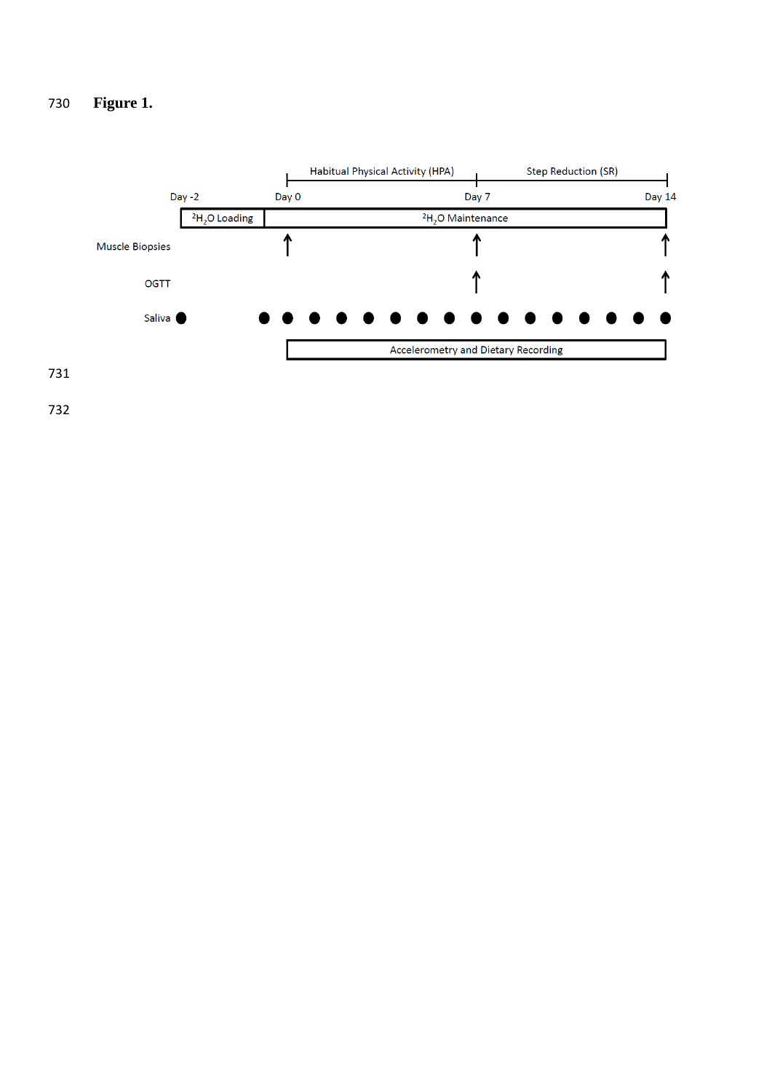# **Figure 1.**

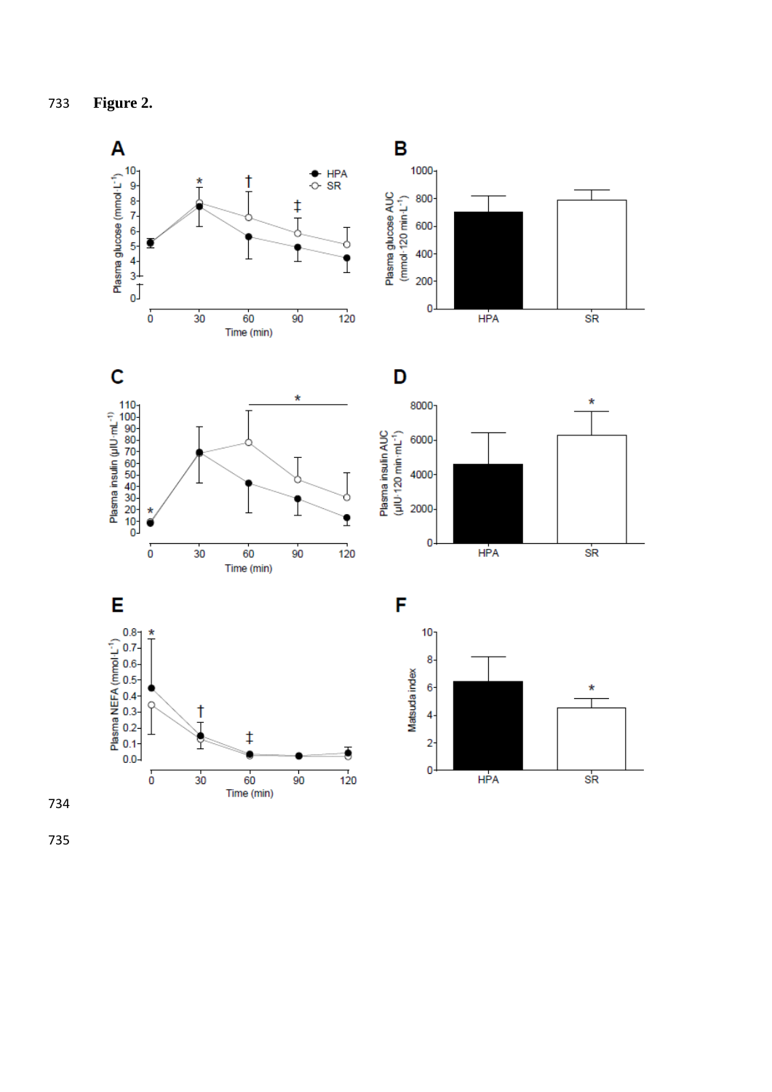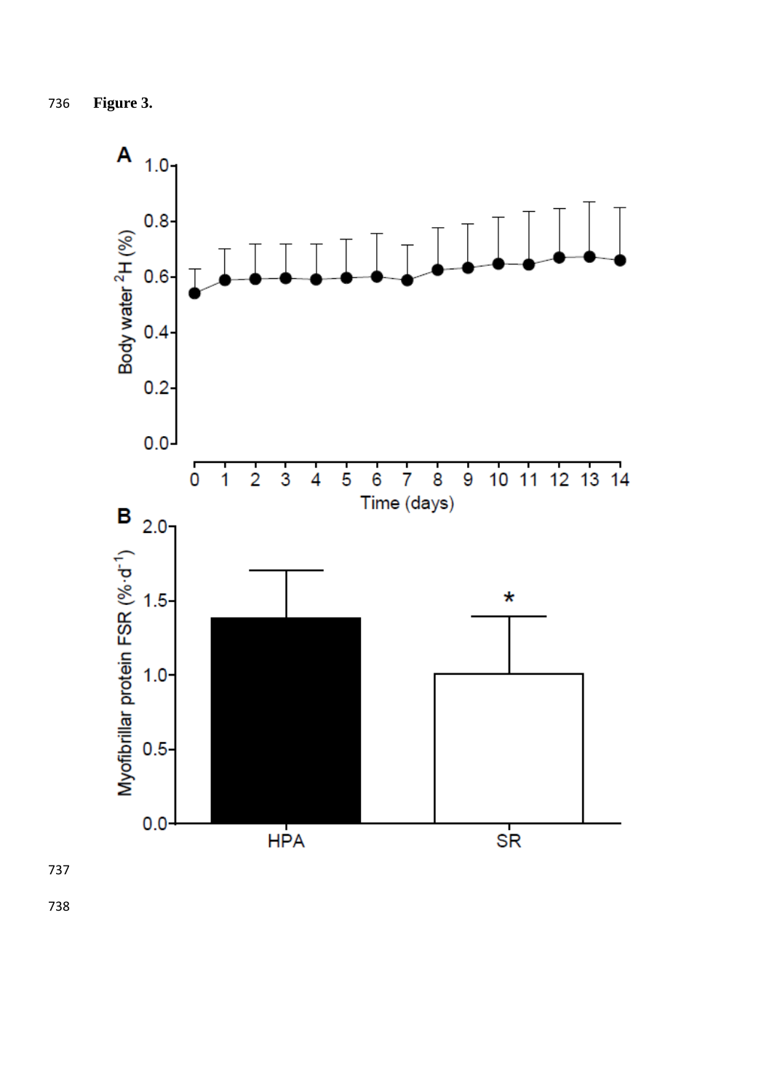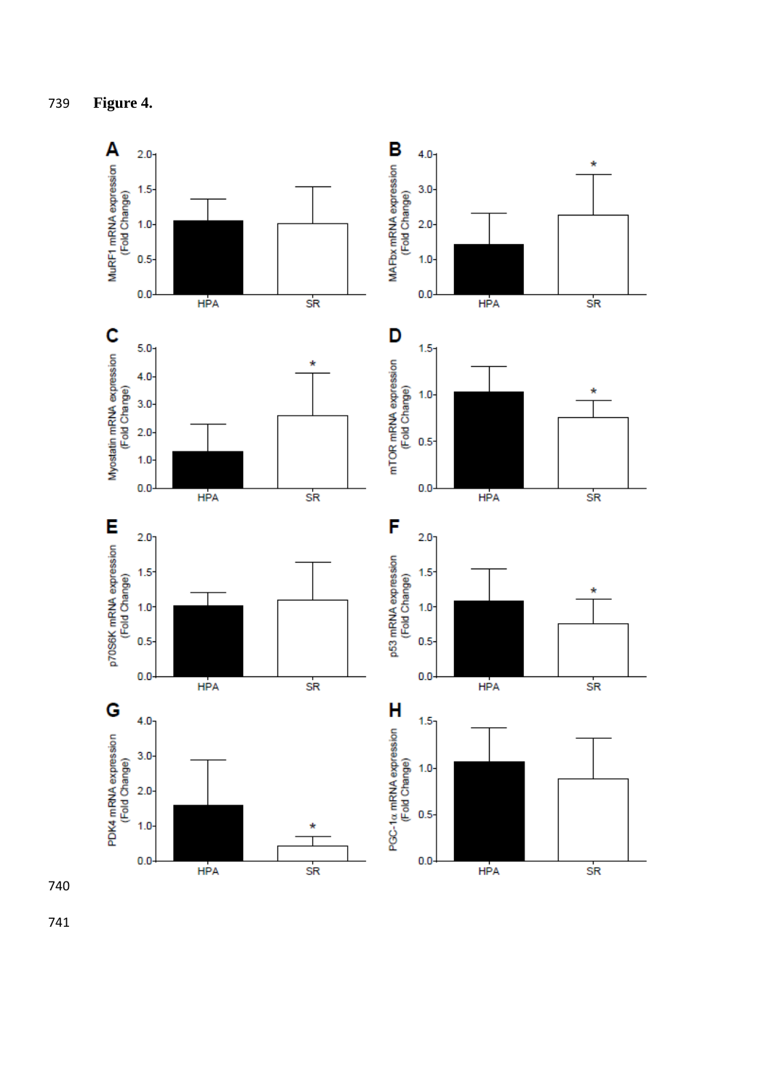